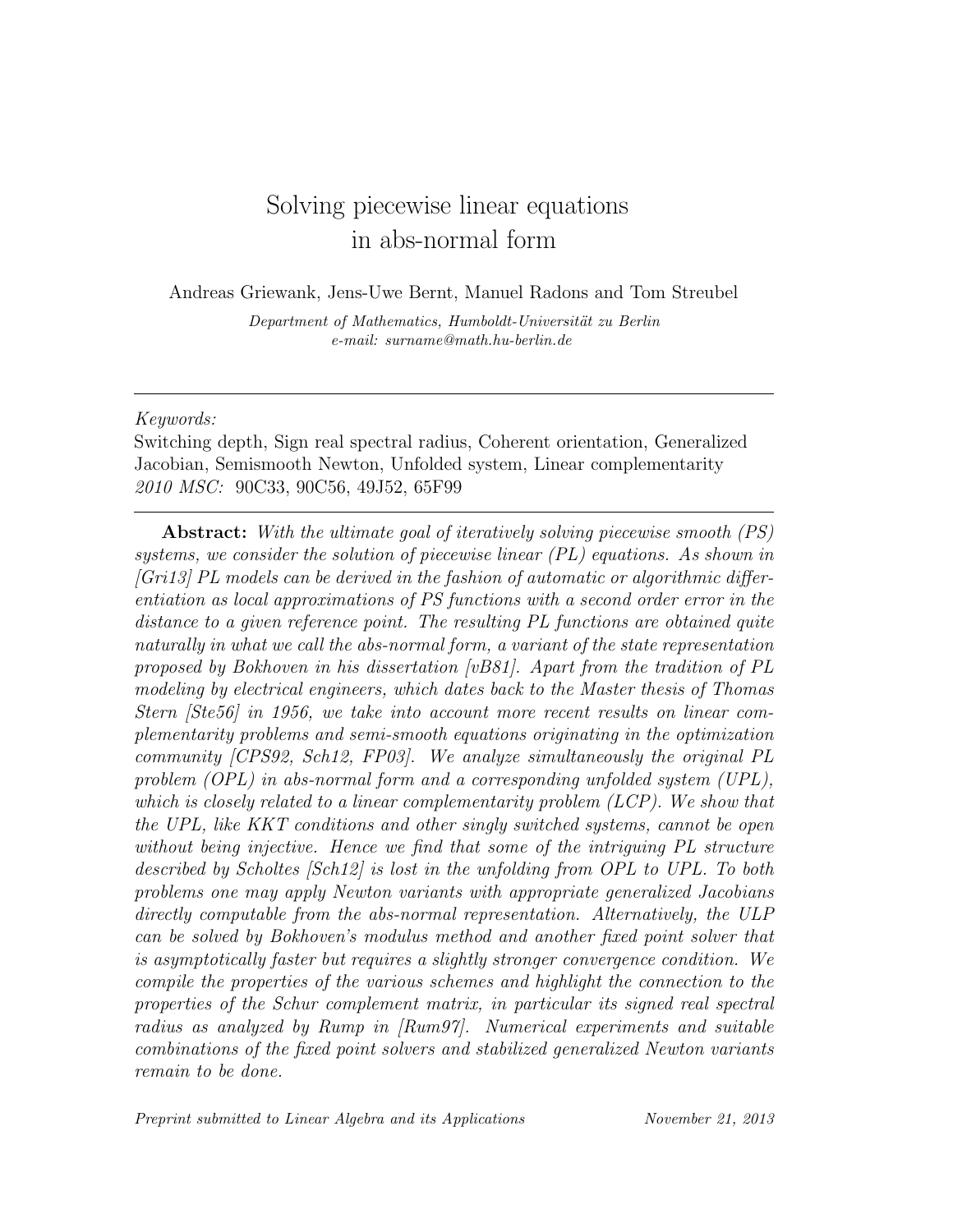# Solving piecewise linear equations in abs-normal form

Andreas Griewank, Jens-Uwe Bernt, Manuel Radons and Tom Streubel

Department of Mathematics, Humboldt-Universität zu Berlin e-mail: surname@math.hu-berlin.de

## Keywords:

Switching depth, Sign real spectral radius, Coherent orientation, Generalized Jacobian, Semismooth Newton, Unfolded system, Linear complementarity 2010 MSC: 90C33, 90C56, 49J52, 65F99

Abstract: With the ultimate goal of iteratively solving piecewise smooth (PS) systems, we consider the solution of piecewise linear (PL) equations. As shown in  $[Gri13]$  PL models can be derived in the fashion of automatic or algorithmic differentiation as local approximations of PS functions with a second order error in the distance to a given reference point. The resulting PL functions are obtained quite naturally in what we call the abs-normal form, a variant of the state representation proposed by Bokhoven in his dissertation [vB81]. Apart from the tradition of PL modeling by electrical engineers, which dates back to the Master thesis of Thomas Stern [Ste56] in 1956, we take into account more recent results on linear complementarity problems and semi-smooth equations originating in the optimization community [CPS92, Sch12, FP03]. We analyze simultaneously the original PL problem (OPL) in abs-normal form and a corresponding unfolded system (UPL), which is closely related to a linear complementarity problem (LCP). We show that the UPL, like KKT conditions and other singly switched systems, cannot be open without being injective. Hence we find that some of the intriguing PL structure described by Scholtes [Sch12] is lost in the unfolding from OPL to UPL. To both problems one may apply Newton variants with appropriate generalized Jacobians directly computable from the abs-normal representation. Alternatively, the ULP can be solved by Bokhoven's modulus method and another fixed point solver that is asymptotically faster but requires a slightly stronger convergence condition. We compile the properties of the various schemes and highlight the connection to the properties of the Schur complement matrix, in particular its signed real spectral radius as analyzed by Rump in [Rum97]. Numerical experiments and suitable combinations of the fixed point solvers and stabilized generalized Newton variants remain to be done.

Preprint submitted to Linear Algebra and its Applications November 21, 2013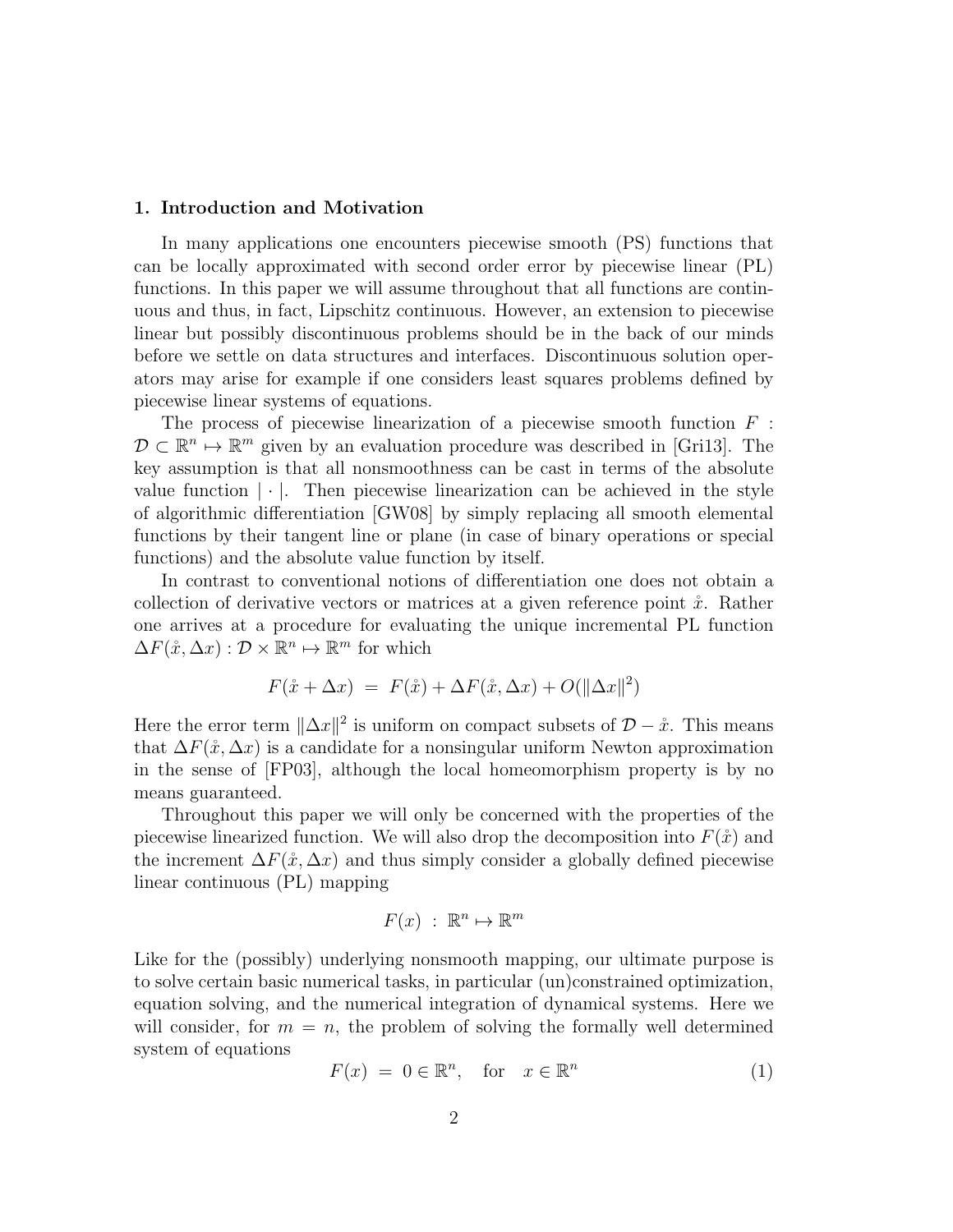#### 1. Introduction and Motivation

In many applications one encounters piecewise smooth (PS) functions that can be locally approximated with second order error by piecewise linear (PL) functions. In this paper we will assume throughout that all functions are continuous and thus, in fact, Lipschitz continuous. However, an extension to piecewise linear but possibly discontinuous problems should be in the back of our minds before we settle on data structures and interfaces. Discontinuous solution operators may arise for example if one considers least squares problems defined by piecewise linear systems of equations.

The process of piecewise linearization of a piecewise smooth function  $F$ :  $\mathcal{D} \subset \mathbb{R}^n \mapsto \mathbb{R}^m$  given by an evaluation procedure was described in [Gri13]. The key assumption is that all nonsmoothness can be cast in terms of the absolute value function  $|\cdot|$ . Then piecewise linearization can be achieved in the style of algorithmic differentiation [GW08] by simply replacing all smooth elemental functions by their tangent line or plane (in case of binary operations or special functions) and the absolute value function by itself.

In contrast to conventional notions of differentiation one does not obtain a collection of derivative vectors or matrices at a given reference point  $\ddot{x}$ . Rather one arrives at a procedure for evaluating the unique incremental PL function  $\Delta F(\mathring{x}, \Delta x) : \mathcal{D} \times \mathbb{R}^n \mapsto \mathbb{R}^m$  for which

$$
F(\mathring{x} + \Delta x) = F(\mathring{x}) + \Delta F(\mathring{x}, \Delta x) + O(||\Delta x||^2)
$$

Here the error term  $\|\Delta x\|^2$  is uniform on compact subsets of  $\mathcal{D} - \mathring{x}$ . This means that  $\Delta F(\mathring{x}, \Delta x)$  is a candidate for a nonsingular uniform Newton approximation in the sense of [FP03], although the local homeomorphism property is by no means guaranteed.

Throughout this paper we will only be concerned with the properties of the piecewise linearized function. We will also drop the decomposition into  $F(\hat{x})$  and the increment  $\Delta F(\hat{x}, \Delta x)$  and thus simply consider a globally defined piecewise linear continuous (PL) mapping

$$
F(x) \; : \; \mathbb{R}^n \mapsto \mathbb{R}^m
$$

Like for the (possibly) underlying nonsmooth mapping, our ultimate purpose is to solve certain basic numerical tasks, in particular (un)constrained optimization, equation solving, and the numerical integration of dynamical systems. Here we will consider, for  $m = n$ , the problem of solving the formally well determined system of equations

$$
F(x) = 0 \in \mathbb{R}^n, \quad \text{for} \quad x \in \mathbb{R}^n \tag{1}
$$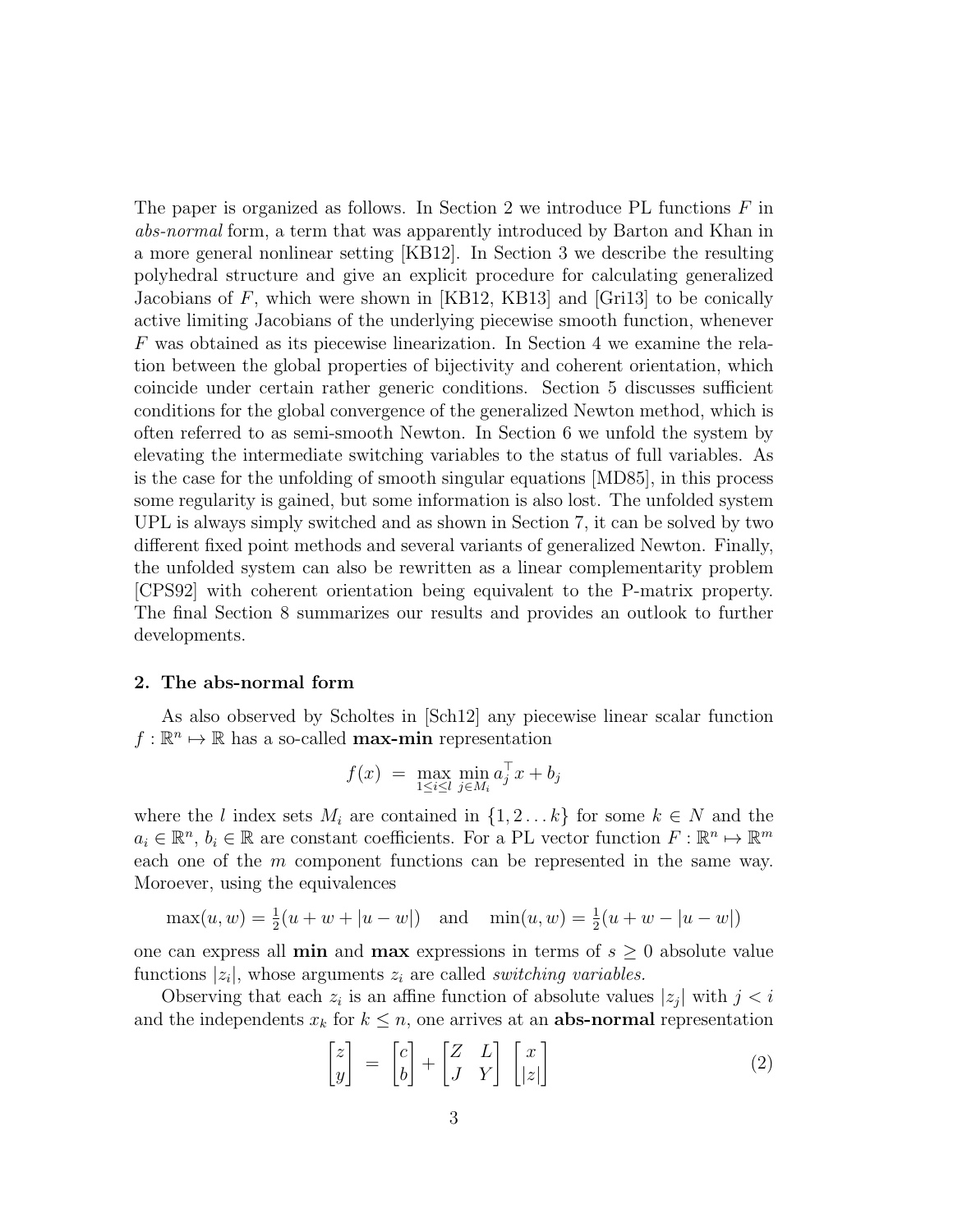The paper is organized as follows. In Section 2 we introduce PL functions  $F$  in abs-normal form, a term that was apparently introduced by Barton and Khan in a more general nonlinear setting [KB12]. In Section 3 we describe the resulting polyhedral structure and give an explicit procedure for calculating generalized Jacobians of  $F$ , which were shown in [KB12, KB13] and [Gri13] to be conically active limiting Jacobians of the underlying piecewise smooth function, whenever F was obtained as its piecewise linearization. In Section 4 we examine the relation between the global properties of bijectivity and coherent orientation, which coincide under certain rather generic conditions. Section 5 discusses sufficient conditions for the global convergence of the generalized Newton method, which is often referred to as semi-smooth Newton. In Section 6 we unfold the system by elevating the intermediate switching variables to the status of full variables. As is the case for the unfolding of smooth singular equations [MD85], in this process some regularity is gained, but some information is also lost. The unfolded system UPL is always simply switched and as shown in Section 7, it can be solved by two different fixed point methods and several variants of generalized Newton. Finally, the unfolded system can also be rewritten as a linear complementarity problem [CPS92] with coherent orientation being equivalent to the P-matrix property. The final Section 8 summarizes our results and provides an outlook to further developments.

#### 2. The abs-normal form

As also observed by Scholtes in [Sch12] any piecewise linear scalar function  $f: \mathbb{R}^n \mapsto \mathbb{R}$  has a so-called **max-min** representation

$$
f(x) = \max_{1 \le i \le l} \min_{j \in M_i} a_j^{\top} x + b_j
$$

where the l index sets  $M_i$  are contained in  $\{1, 2, \ldots k\}$  for some  $k \in N$  and the  $a_i \in \mathbb{R}^n$ ,  $b_i \in \mathbb{R}$  are constant coefficients. For a PL vector function  $F : \mathbb{R}^n \mapsto \mathbb{R}^m$ each one of the m component functions can be represented in the same way. Moroever, using the equivalences

$$
\max(u, w) = \frac{1}{2}(u + w + |u - w|) \quad \text{and} \quad \min(u, w) = \frac{1}{2}(u + w - |u - w|)
$$

one can express all **min** and **max** expressions in terms of  $s \geq 0$  absolute value functions  $|z_i|$ , whose arguments  $z_i$  are called *switching variables*.

Observing that each  $z_i$  is an affine function of absolute values  $|z_j|$  with  $j < i$ and the independents  $x_k$  for  $k \leq n$ , one arrives at an **abs-normal** representation

$$
\begin{bmatrix} z \\ y \end{bmatrix} = \begin{bmatrix} c \\ b \end{bmatrix} + \begin{bmatrix} Z & L \\ J & Y \end{bmatrix} \begin{bmatrix} x \\ |z| \end{bmatrix}
$$
 (2)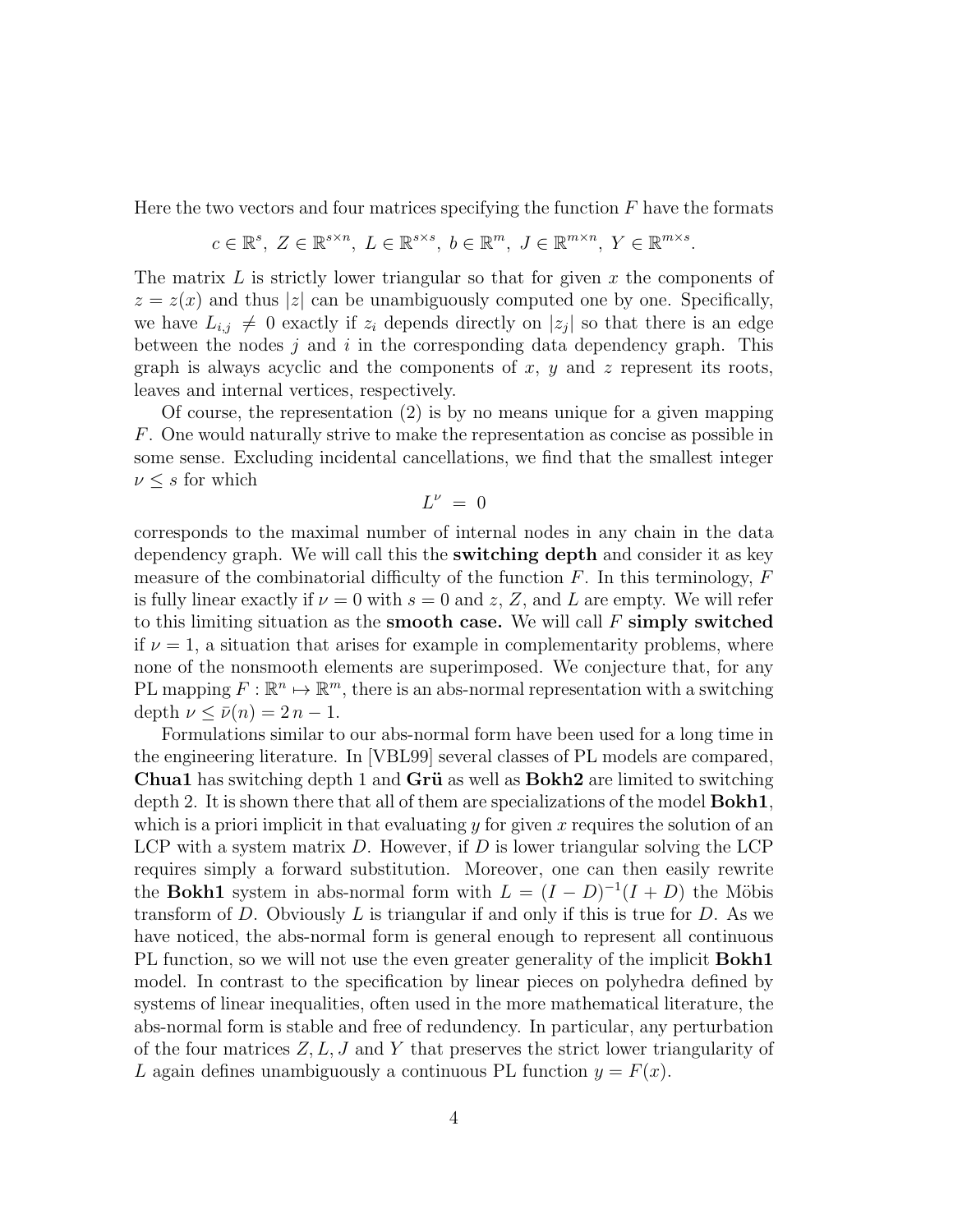Here the two vectors and four matrices specifying the function  $F$  have the formats

$$
c \in \mathbb{R}^{s}, \ Z \in \mathbb{R}^{s \times n}, \ L \in \mathbb{R}^{s \times s}, \ b \in \mathbb{R}^{m}, \ J \in \mathbb{R}^{m \times n}, \ Y \in \mathbb{R}^{m \times s}.
$$

The matrix L is strictly lower triangular so that for given x the components of  $z = z(x)$  and thus |z| can be unambiguously computed one by one. Specifically, we have  $L_{i,j} \neq 0$  exactly if  $z_i$  depends directly on  $|z_j|$  so that there is an edge between the nodes  $j$  and  $i$  in the corresponding data dependency graph. This graph is always acyclic and the components of  $x, y$  and  $z$  represent its roots, leaves and internal vertices, respectively.

Of course, the representation (2) is by no means unique for a given mapping F. One would naturally strive to make the representation as concise as possible in some sense. Excluding incidental cancellations, we find that the smallest integer  $\nu \leq s$  for which

$$
L^{\nu} = 0
$$

corresponds to the maximal number of internal nodes in any chain in the data dependency graph. We will call this the switching depth and consider it as key measure of the combinatorial difficulty of the function  $F$ . In this terminology,  $F$ is fully linear exactly if  $\nu = 0$  with  $s = 0$  and z, Z, and L are empty. We will refer to this limiting situation as the **smooth case.** We will call  $F$  **simply switched** if  $\nu = 1$ , a situation that arises for example in complementarity problems, where none of the nonsmooth elements are superimposed. We conjecture that, for any PL mapping  $F : \mathbb{R}^n \to \mathbb{R}^m$ , there is an abs-normal representation with a switching depth  $\nu < \bar{\nu}(n) = 2n - 1$ .

Formulations similar to our abs-normal form have been used for a long time in the engineering literature. In [VBL99] several classes of PL models are compared, **Chua1** has switching depth 1 and **Grü** as well as  $Bokh2$  are limited to switching depth 2. It is shown there that all of them are specializations of the model Bokh1, which is a priori implicit in that evaluating  $y$  for given  $x$  requires the solution of an LCP with a system matrix  $D$ . However, if  $D$  is lower triangular solving the LCP requires simply a forward substitution. Moreover, one can then easily rewrite the **Bokh1** system in abs-normal form with  $L = (I - D)^{-1}(I + D)$  the Möbis transform of  $D$ . Obviously  $L$  is triangular if and only if this is true for  $D$ . As we have noticed, the abs-normal form is general enough to represent all continuous PL function, so we will not use the even greater generality of the implicit **Bokh1** model. In contrast to the specification by linear pieces on polyhedra defined by systems of linear inequalities, often used in the more mathematical literature, the abs-normal form is stable and free of redundency. In particular, any perturbation of the four matrices  $Z, L, J$  and Y that preserves the strict lower triangularity of L again defines unambiguously a continuous PL function  $y = F(x)$ .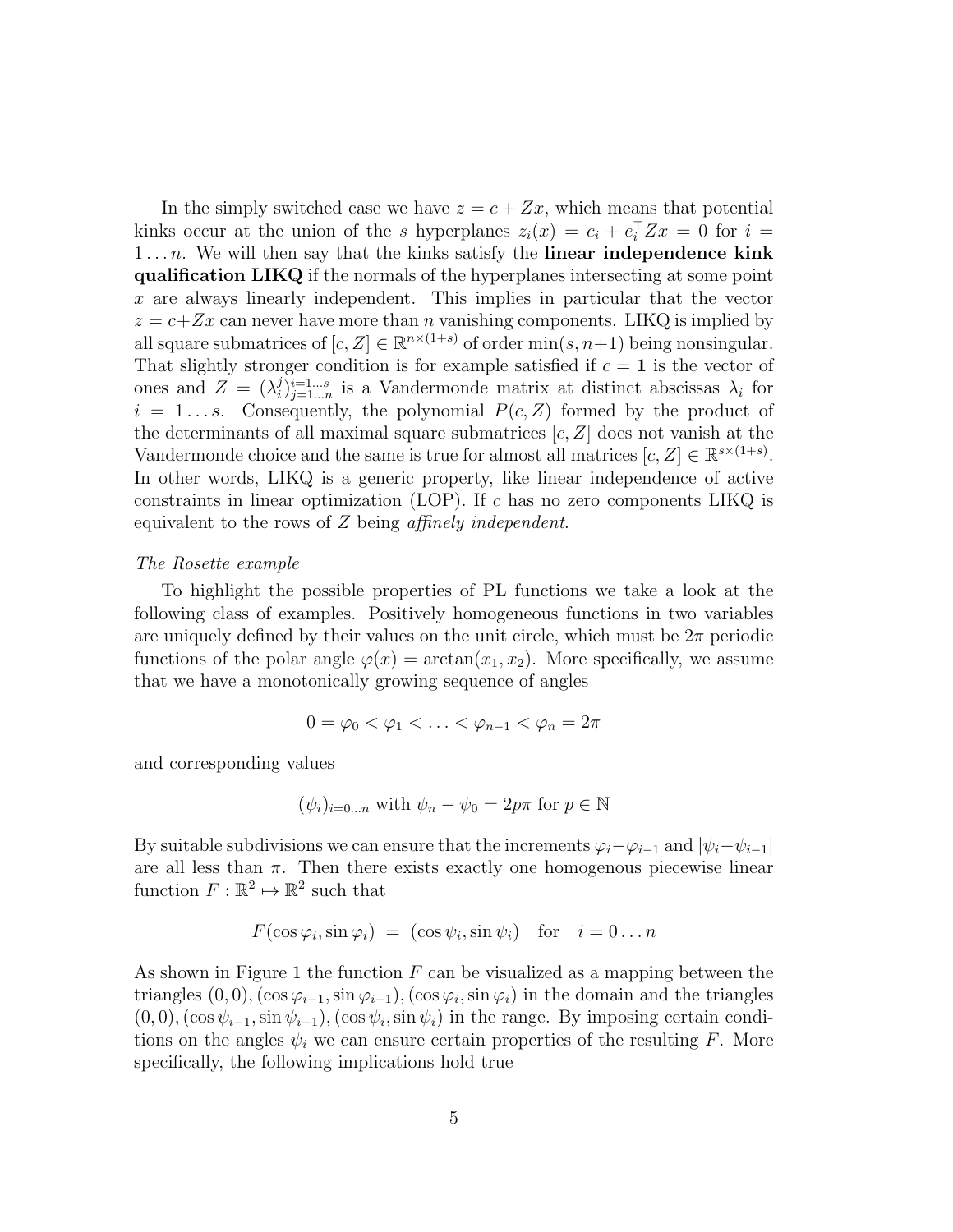In the simply switched case we have  $z = c + Zx$ , which means that potential kinks occur at the union of the s hyperplanes  $z_i(x) = c_i + e_i^T Z x = 0$  for  $i =$  $1...n$ . We will then say that the kinks satisfy the linear independence kink qualification LIKQ if the normals of the hyperplanes intersecting at some point x are always linearly independent. This implies in particular that the vector  $z = c + Zx$  can never have more than *n* vanishing components. LIKQ is implied by all square submatrices of  $[c, Z] \in \mathbb{R}^{n \times (1+s)}$  of order  $\min(s, n+1)$  being nonsingular. That slightly stronger condition is for example satisfied if  $c = 1$  is the vector of ones and  $Z = (\lambda_i^j)$  $\lambda_i^{j}$ <sub>i</sub> $=1...$ <sup>n</sup> is a Vandermonde matrix at distinct abscissas  $\lambda_i$  for  $i = 1...s$ . Consequently, the polynomial  $P(c, Z)$  formed by the product of the determinants of all maximal square submatrices  $[c, Z]$  does not vanish at the Vandermonde choice and the same is true for almost all matrices  $[c, Z] \in \mathbb{R}^{s \times (1+s)}$ . In other words, LIKQ is a generic property, like linear independence of active constraints in linear optimization (LOP). If c has no zero components LIKQ is equivalent to the rows of Z being affinely independent.

## The Rosette example

To highlight the possible properties of PL functions we take a look at the following class of examples. Positively homogeneous functions in two variables are uniquely defined by their values on the unit circle, which must be  $2\pi$  periodic functions of the polar angle  $\varphi(x) = \arctan(x_1, x_2)$ . More specifically, we assume that we have a monotonically growing sequence of angles

$$
0=\varphi_0<\varphi_1<\ldots<\varphi_{n-1}<\varphi_n=2\pi
$$

and corresponding values

$$
(\psi_i)_{i=0\ldots n}
$$
 with  $\psi_n-\psi_0=2p\pi$  for  $p\in\mathbb{N}$ 

By suitable subdivisions we can ensure that the increments  $\varphi_i-\varphi_{i-1}$  and  $|\psi_i-\psi_{i-1}|$ are all less than  $\pi$ . Then there exists exactly one homogenous piecewise linear function  $F: \mathbb{R}^2 \mapsto \mathbb{R}^2$  such that

$$
F(\cos\varphi_i, \sin\varphi_i) = (\cos\psi_i, \sin\psi_i) \text{ for } i = 0...n
$$

As shown in Figure 1 the function  $F$  can be visualized as a mapping between the triangles  $(0,0)$ ,  $(\cos \varphi_{i-1}, \sin \varphi_{i-1})$ ,  $(\cos \varphi_i, \sin \varphi_i)$  in the domain and the triangles  $(0,0)$ ,  $(\cos \psi_{i-1}, \sin \psi_{i-1})$ ,  $(\cos \psi_i, \sin \psi_i)$  in the range. By imposing certain conditions on the angles  $\psi_i$  we can ensure certain properties of the resulting F. More specifically, the following implications hold true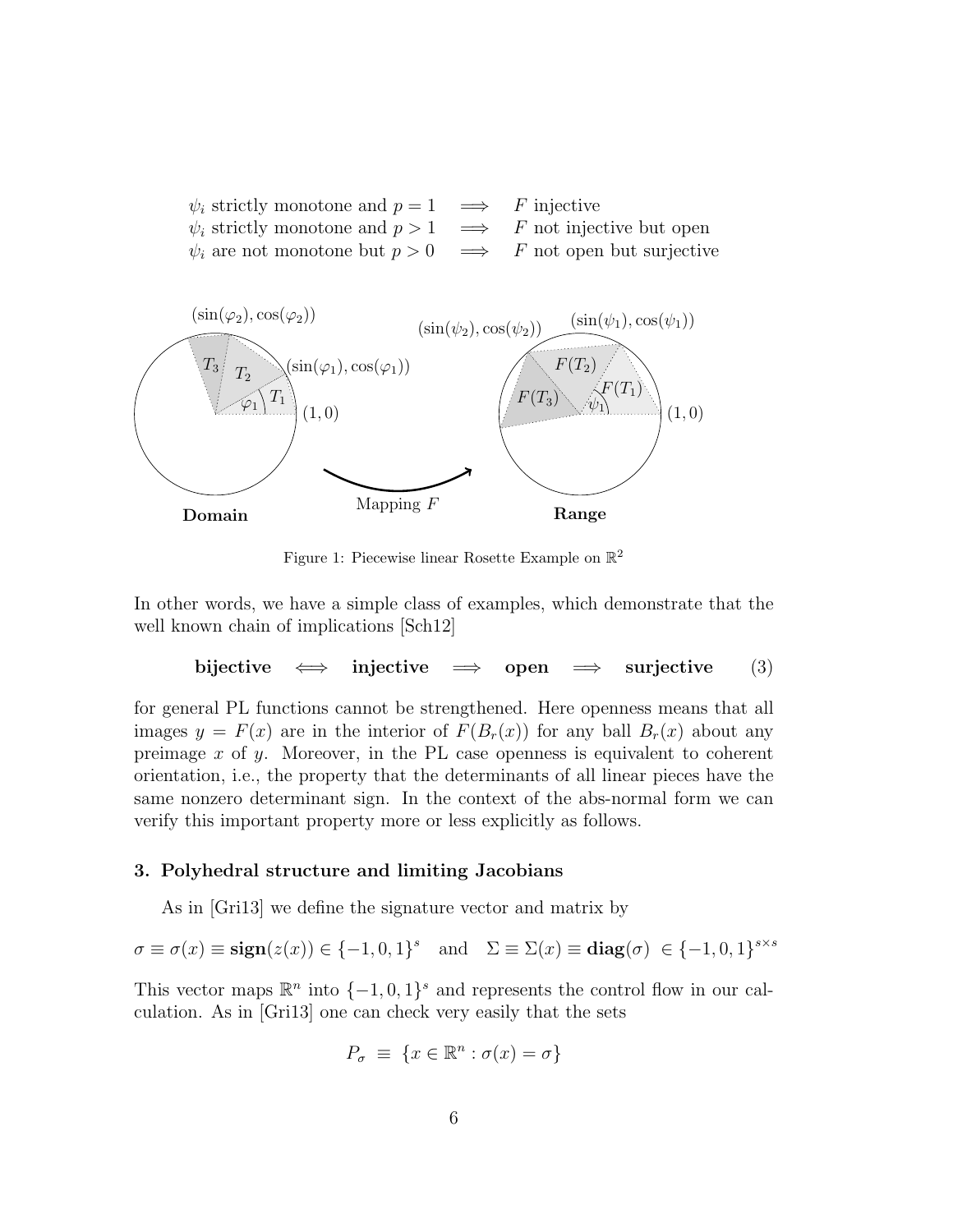



Figure 1: Piecewise linear Rosette Example on  $\mathbb{R}^2$ 

In other words, we have a simple class of examples, which demonstrate that the well known chain of implications [Sch12]

$$
bijective \iff injective \implies open \implies surjective \qquad (3)
$$

for general PL functions cannot be strengthened. Here openness means that all images  $y = F(x)$  are in the interior of  $F(B_r(x))$  for any ball  $B_r(x)$  about any preimage  $x$  of  $y$ . Moreover, in the PL case openness is equivalent to coherent orientation, i.e., the property that the determinants of all linear pieces have the same nonzero determinant sign. In the context of the abs-normal form we can verify this important property more or less explicitly as follows.

#### 3. Polyhedral structure and limiting Jacobians

As in [Gri13] we define the signature vector and matrix by

$$
\sigma \equiv \sigma(x) \equiv \mathbf{sign}(z(x)) \in \{-1, 0, 1\}^s \quad \text{and} \quad \Sigma \equiv \Sigma(x) \equiv \mathbf{diag}(\sigma) \in \{-1, 0, 1\}^{s \times s}
$$

This vector maps  $\mathbb{R}^n$  into  $\{-1,0,1\}^s$  and represents the control flow in our calculation. As in [Gri13] one can check very easily that the sets

$$
P_{\sigma} \equiv \{ x \in \mathbb{R}^n : \sigma(x) = \sigma \}
$$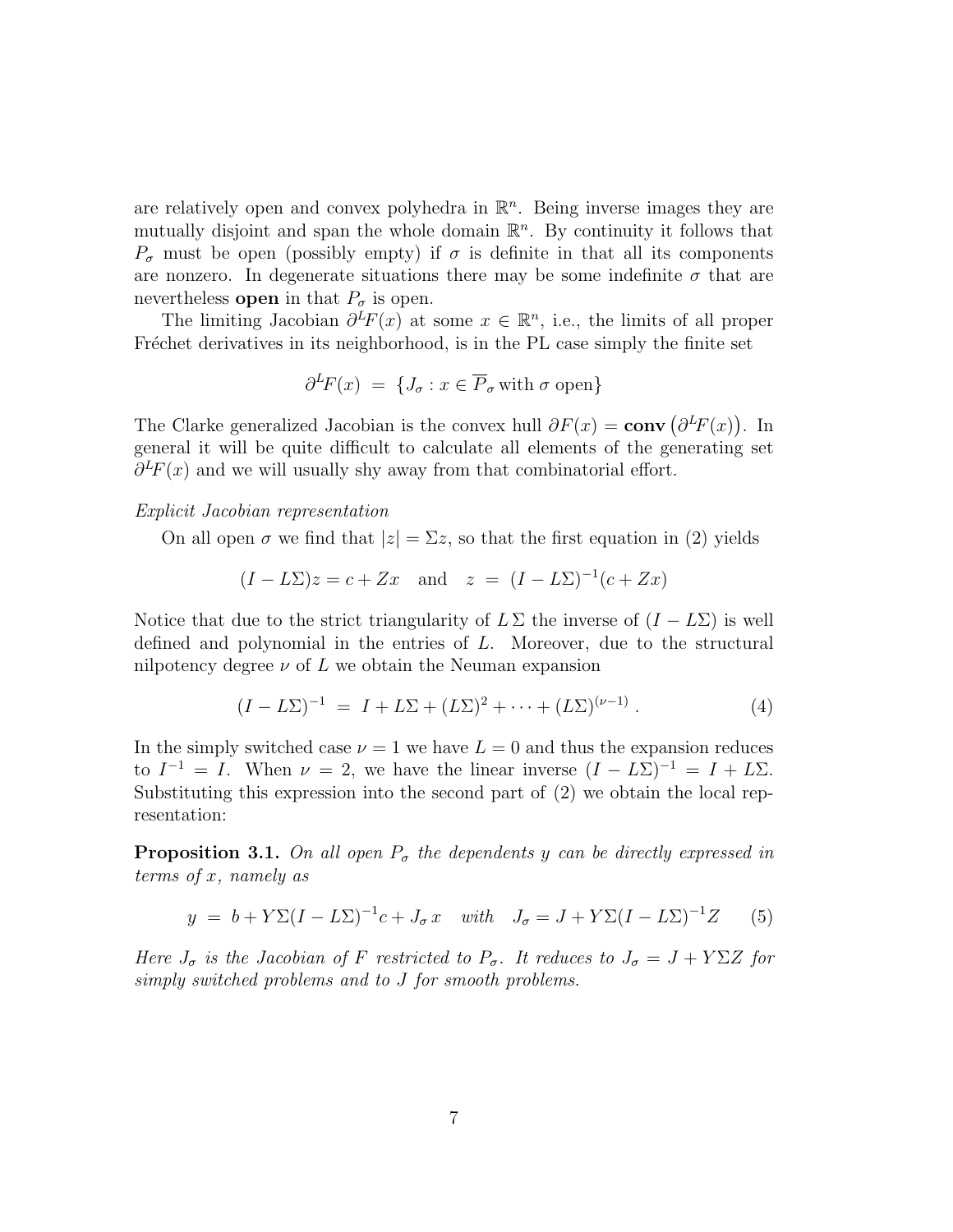are relatively open and convex polyhedra in  $\mathbb{R}^n$ . Being inverse images they are mutually disjoint and span the whole domain  $\mathbb{R}^n$ . By continuity it follows that  $P_{\sigma}$  must be open (possibly empty) if  $\sigma$  is definite in that all its components are nonzero. In degenerate situations there may be some indefinite  $\sigma$  that are nevertheless **open** in that  $P_{\sigma}$  is open.

The limiting Jacobian  $\partial^L F(x)$  at some  $x \in \mathbb{R}^n$ , i.e., the limits of all proper Fréchet derivatives in its neighborhood, is in the PL case simply the finite set

$$
\partial^L F(x) = \{ J_\sigma : x \in \overline{P}_\sigma \text{ with } \sigma \text{ open} \}
$$

The Clarke generalized Jacobian is the convex hull  $\partial F(x) = \text{conv}(\partial^L F(x))$ . In general it will be quite difficult to calculate all elements of the generating set  $\partial^L F(x)$  and we will usually shy away from that combinatorial effort.

#### Explicit Jacobian representation

On all open  $\sigma$  we find that  $|z| = \Sigma z$ , so that the first equation in (2) yields

$$
(I - L\Sigma)z = c + Zx \quad \text{and} \quad z = (I - L\Sigma)^{-1}(c + Zx)
$$

Notice that due to the strict triangularity of  $L \Sigma$  the inverse of  $(I - L \Sigma)$  is well defined and polynomial in the entries of L. Moreover, due to the structural nilpotency degree  $\nu$  of  $L$  we obtain the Neuman expansion

$$
(I - L\Sigma)^{-1} = I + L\Sigma + (L\Sigma)^2 + \dots + (L\Sigma)^{(\nu - 1)}.
$$
 (4)

In the simply switched case  $\nu = 1$  we have  $L = 0$  and thus the expansion reduces to  $I^{-1} = I$ . When  $\nu = 2$ , we have the linear inverse  $(I - L\Sigma)^{-1} = I + L\Sigma$ . Substituting this expression into the second part of (2) we obtain the local representation:

**Proposition 3.1.** On all open  $P_{\sigma}$  the dependents y can be directly expressed in terms of x, namely as

$$
y = b + Y\Sigma (I - L\Sigma)^{-1}c + J_{\sigma} x \quad with \quad J_{\sigma} = J + Y\Sigma (I - L\Sigma)^{-1}Z \tag{5}
$$

Here  $J_{\sigma}$  is the Jacobian of F restricted to  $P_{\sigma}$ . It reduces to  $J_{\sigma} = J + Y \Sigma Z$  for simply switched problems and to J for smooth problems.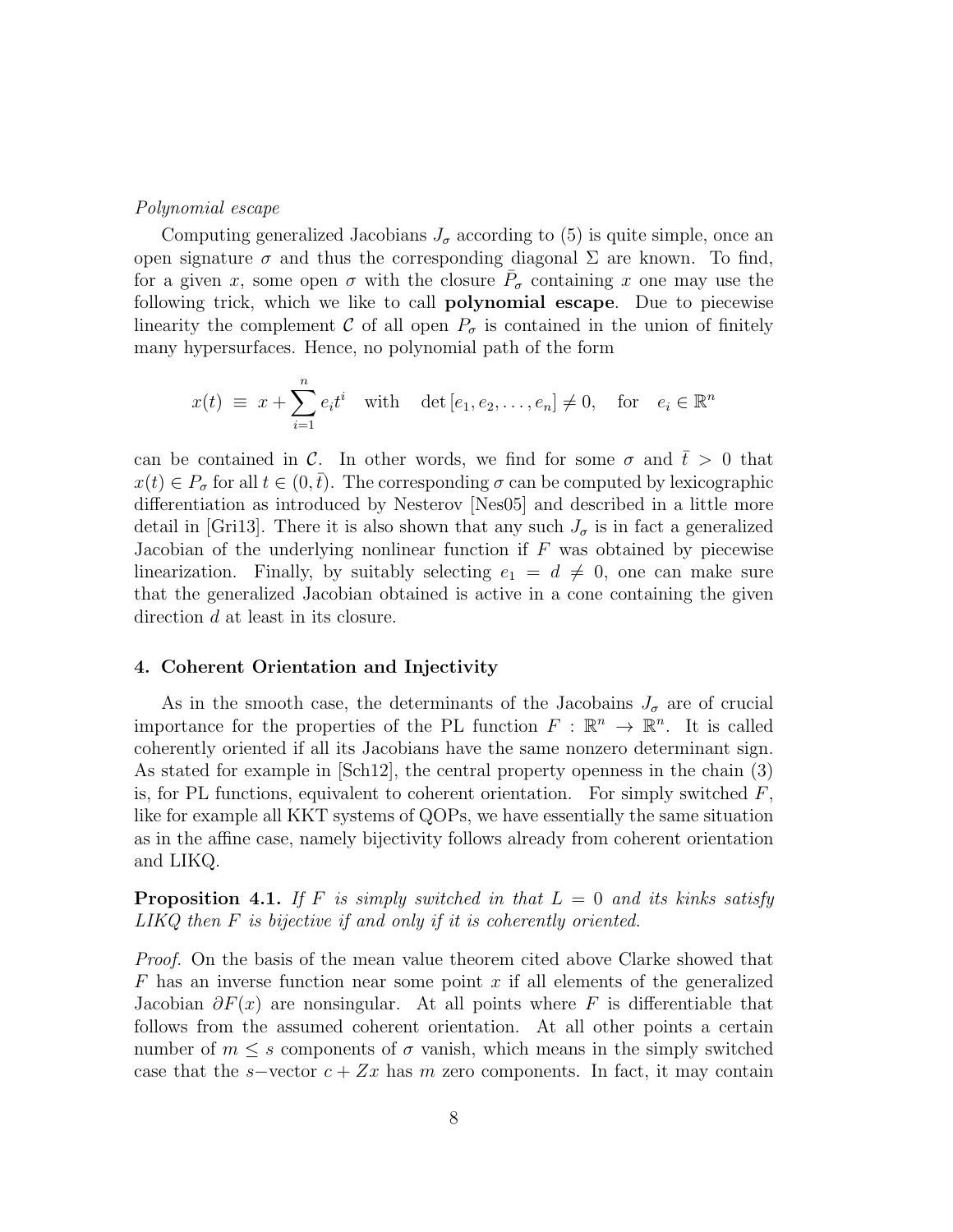#### Polynomial escape

Computing generalized Jacobians  $J_{\sigma}$  according to (5) is quite simple, once an open signature  $\sigma$  and thus the corresponding diagonal  $\Sigma$  are known. To find, for a given x, some open  $\sigma$  with the closure  $\bar{P}_{\sigma}$  containing x one may use the following trick, which we like to call polynomial escape. Due to piecewise linearity the complement C of all open  $P_{\sigma}$  is contained in the union of finitely many hypersurfaces. Hence, no polynomial path of the form

$$
x(t) \equiv x + \sum_{i=1}^{n} e_i t^i \quad \text{with} \quad \det[e_1, e_2, \dots, e_n] \neq 0, \quad \text{for} \quad e_i \in \mathbb{R}^n
$$

can be contained in C. In other words, we find for some  $\sigma$  and  $\bar{t} > 0$  that  $x(t) \in P_{\sigma}$  for all  $t \in (0, \bar{t})$ . The corresponding  $\sigma$  can be computed by lexicographic differentiation as introduced by Nesterov [Nes05] and described in a little more detail in [Gri13]. There it is also shown that any such  $J_{\sigma}$  is in fact a generalized Jacobian of the underlying nonlinear function if  $F$  was obtained by piecewise linearization. Finally, by suitably selecting  $e_1 = d \neq 0$ , one can make sure that the generalized Jacobian obtained is active in a cone containing the given direction d at least in its closure.

#### 4. Coherent Orientation and Injectivity

As in the smooth case, the determinants of the Jacobains  $J_{\sigma}$  are of crucial importance for the properties of the PL function  $F : \mathbb{R}^n \to \mathbb{R}^n$ . It is called coherently oriented if all its Jacobians have the same nonzero determinant sign. As stated for example in [Sch12], the central property openness in the chain (3) is, for PL functions, equivalent to coherent orientation. For simply switched  $F$ , like for example all KKT systems of QOPs, we have essentially the same situation as in the affine case, namely bijectivity follows already from coherent orientation and LIKQ.

**Proposition 4.1.** If F is simply switched in that  $L = 0$  and its kinks satisfy LIKQ then F is bijective if and only if it is coherently oriented.

Proof. On the basis of the mean value theorem cited above Clarke showed that  $F$  has an inverse function near some point x if all elements of the generalized Jacobian  $\partial F(x)$  are nonsingular. At all points where F is differentiable that follows from the assumed coherent orientation. At all other points a certain number of  $m \leq s$  components of  $\sigma$  vanish, which means in the simply switched case that the s–vector  $c + Zx$  has m zero components. In fact, it may contain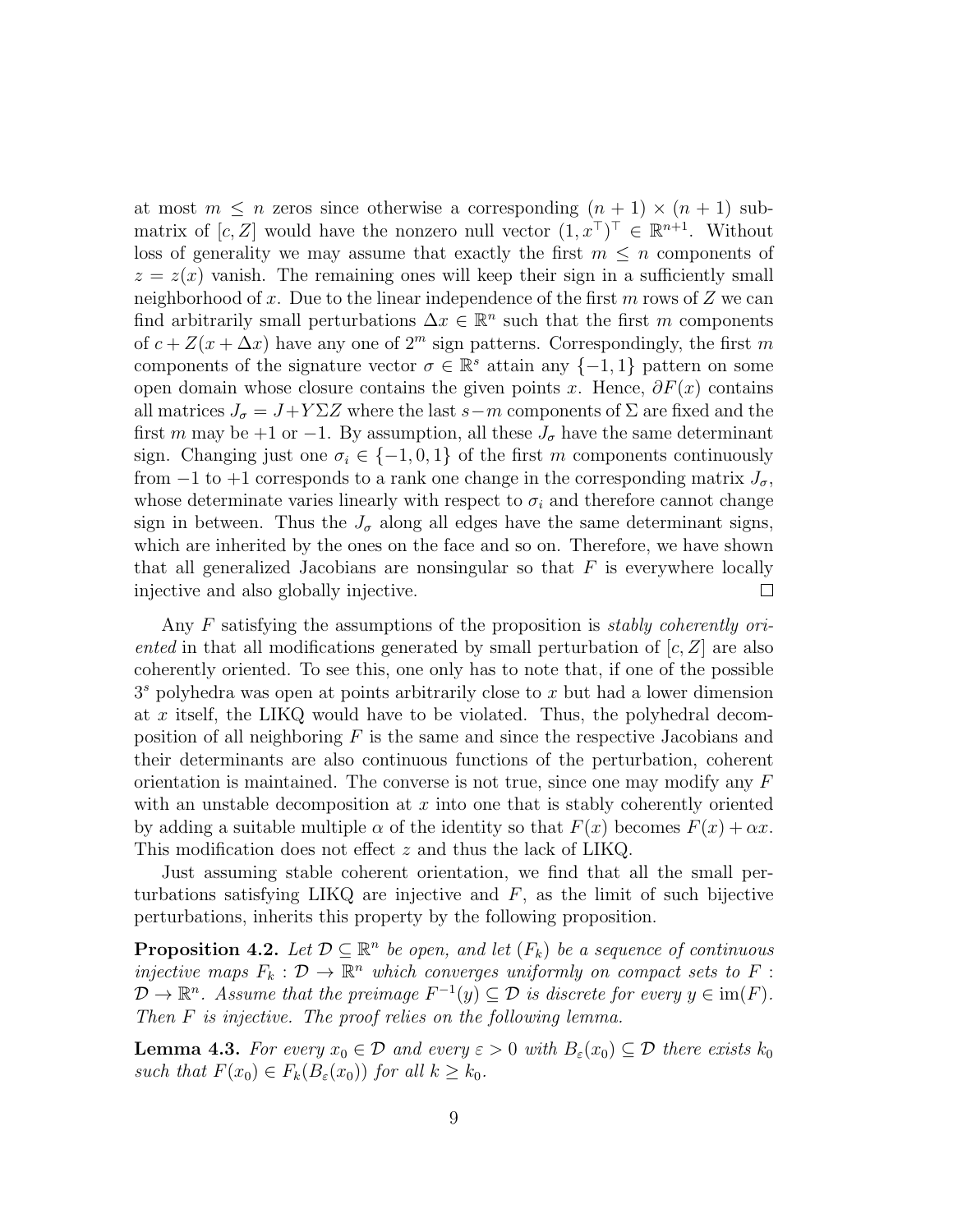at most  $m \leq n$  zeros since otherwise a corresponding  $(n + 1) \times (n + 1)$  submatrix of  $[c, Z]$  would have the nonzero null vector  $(1, x^{\top})^{\top} \in \mathbb{R}^{n+1}$ . Without loss of generality we may assume that exactly the first  $m \leq n$  components of  $z = z(x)$  vanish. The remaining ones will keep their sign in a sufficiently small neighborhood of x. Due to the linear independence of the first  $m$  rows of  $Z$  we can find arbitrarily small perturbations  $\Delta x \in \mathbb{R}^n$  such that the first m components of  $c + Z(x + \Delta x)$  have any one of  $2^m$  sign patterns. Correspondingly, the first m components of the signature vector  $\sigma \in \mathbb{R}^s$  attain any  $\{-1,1\}$  pattern on some open domain whose closure contains the given points x. Hence,  $\partial F(x)$  contains all matrices  $J_{\sigma} = J + Y \Sigma Z$  where the last s−m components of  $\Sigma$  are fixed and the first m may be +1 or −1. By assumption, all these  $J_{\sigma}$  have the same determinant sign. Changing just one  $\sigma_i \in \{-1,0,1\}$  of the first m components continuously from  $-1$  to  $+1$  corresponds to a rank one change in the corresponding matrix  $J_{\sigma}$ , whose determinate varies linearly with respect to  $\sigma_i$  and therefore cannot change sign in between. Thus the  $J_{\sigma}$  along all edges have the same determinant signs, which are inherited by the ones on the face and so on. Therefore, we have shown that all generalized Jacobians are nonsingular so that  $F$  is everywhere locally injective and also globally injective.  $\Box$ 

Any F satisfying the assumptions of the proposition is *stably coherently ori*ented in that all modifications generated by small perturbation of  $[c, Z]$  are also coherently oriented. To see this, one only has to note that, if one of the possible  $3<sup>s</sup>$  polyhedra was open at points arbitrarily close to x but had a lower dimension at x itself, the LIKQ would have to be violated. Thus, the polyhedral decomposition of all neighboring  $F$  is the same and since the respective Jacobians and their determinants are also continuous functions of the perturbation, coherent orientation is maintained. The converse is not true, since one may modify any  $F$ with an unstable decomposition at  $x$  into one that is stably coherently oriented by adding a suitable multiple  $\alpha$  of the identity so that  $F(x)$  becomes  $F(x) + \alpha x$ . This modification does not effect z and thus the lack of LIKQ.

Just assuming stable coherent orientation, we find that all the small perturbations satisfying LIKQ are injective and  $F$ , as the limit of such bijective perturbations, inherits this property by the following proposition.

**Proposition 4.2.** Let  $D \subseteq \mathbb{R}^n$  be open, and let  $(F_k)$  be a sequence of continuous injective maps  $F_k: \mathcal{D} \to \mathbb{R}^n$  which converges uniformly on compact sets to  $F$ :  $\mathcal{D} \to \mathbb{R}^n$ . Assume that the preimage  $F^{-1}(y) \subseteq \mathcal{D}$  is discrete for every  $y \in \text{im}(F)$ . Then F is injective. The proof relies on the following lemma.

**Lemma 4.3.** For every  $x_0 \in \mathcal{D}$  and every  $\varepsilon > 0$  with  $B_{\varepsilon}(x_0) \subseteq \mathcal{D}$  there exists  $k_0$ such that  $F(x_0) \in F_k(B_\varepsilon(x_0))$  for all  $k \geq k_0$ .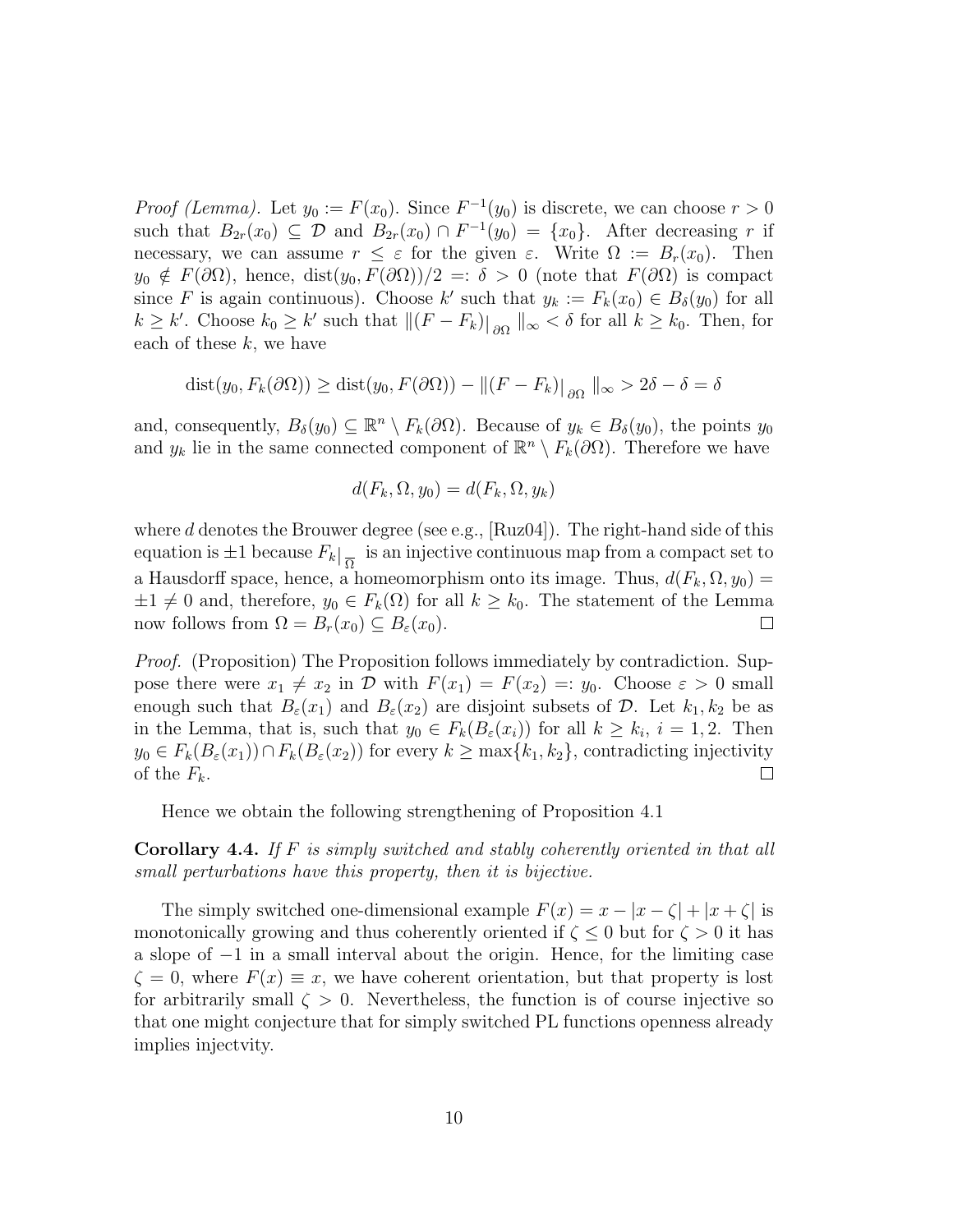*Proof (Lemma)*. Let  $y_0 := F(x_0)$ . Since  $F^{-1}(y_0)$  is discrete, we can choose  $r > 0$ such that  $B_{2r}(x_0) \subseteq \mathcal{D}$  and  $B_{2r}(x_0) \cap F^{-1}(y_0) = \{x_0\}$ . After decreasing r if necessary, we can assume  $r \leq \varepsilon$  for the given  $\varepsilon$ . Write  $\Omega := B_r(x_0)$ . Then  $y_0 \notin F(\partial\Omega)$ , hence, dist $(y_0, F(\partial\Omega))/2 =: \delta > 0$  (note that  $F(\partial\Omega)$ ) is compact since F is again continuous). Choose  $k'$  such that  $y_k := F_k(x_0) \in B_\delta(y_0)$  for all  $k \geq k'$ . Choose  $k_0 \geq k'$  such that  $||(F - F_k)||_{\partial\Omega} ||_{\infty} < \delta$  for all  $k \geq k_0$ . Then, for each of these  $k$ , we have

$$
dist(y_0, F_k(\partial \Omega)) \geq dist(y_0, F(\partial \Omega)) - ||(F - F_k)||_{\partial \Omega} ||_{\infty} > 2\delta - \delta = \delta
$$

and, consequently,  $B_\delta(y_0) \subseteq \mathbb{R}^n \setminus F_k(\partial\Omega)$ . Because of  $y_k \in B_\delta(y_0)$ , the points  $y_0$ and  $y_k$  lie in the same connected component of  $\mathbb{R}^n \setminus F_k(\partial\Omega)$ . Therefore we have

$$
d(F_k, \Omega, y_0) = d(F_k, \Omega, y_k)
$$

where  $d$  denotes the Brouwer degree (see e.g., [Ruz04]). The right-hand side of this equation is  $\pm 1$  because  $F_k|_{\overline{\Omega}}$  is an injective continuous map from a compact set to a Hausdorff space, hence, a homeomorphism onto its image. Thus,  $d(F_k, \Omega, y_0) =$  $\pm 1 \neq 0$  and, therefore,  $y_0 \in F_k(\Omega)$  for all  $k \geq k_0$ . The statement of the Lemma<br>now follows from  $\Omega = B_r(x_0) \subset B_{\varepsilon}(x_0)$ . now follows from  $\Omega = B_r(x_0) \subseteq B_{\varepsilon}(x_0)$ .

Proof. (Proposition) The Proposition follows immediately by contradiction. Suppose there were  $x_1 \neq x_2$  in D with  $F(x_1) = F(x_2) =: y_0$ . Choose  $\varepsilon > 0$  small enough such that  $B_{\varepsilon}(x_1)$  and  $B_{\varepsilon}(x_2)$  are disjoint subsets of  $\mathcal{D}$ . Let  $k_1, k_2$  be as in the Lemma, that is, such that  $y_0 \in F_k(B_\varepsilon(x_i))$  for all  $k \geq k_i$ ,  $i = 1, 2$ . Then  $y_0 \in F_k(B_\varepsilon(x_1)) \cap F_k(B_\varepsilon(x_2))$  for every  $k \geq \max\{k_1, k_2\}$ , contradicting injectivity of the  $F_k$ .  $\Box$ 

Hence we obtain the following strengthening of Proposition 4.1

Corollary 4.4. If F is simply switched and stably coherently oriented in that all small perturbations have this property, then it is bijective.

The simply switched one-dimensional example  $F(x) = x - |x - \zeta| + |x + \zeta|$  is monotonically growing and thus coherently oriented if  $\zeta \leq 0$  but for  $\zeta > 0$  it has a slope of −1 in a small interval about the origin. Hence, for the limiting case  $\zeta = 0$ , where  $F(x) \equiv x$ , we have coherent orientation, but that property is lost for arbitrarily small  $\zeta > 0$ . Nevertheless, the function is of course injective so that one might conjecture that for simply switched PL functions openness already implies injectvity.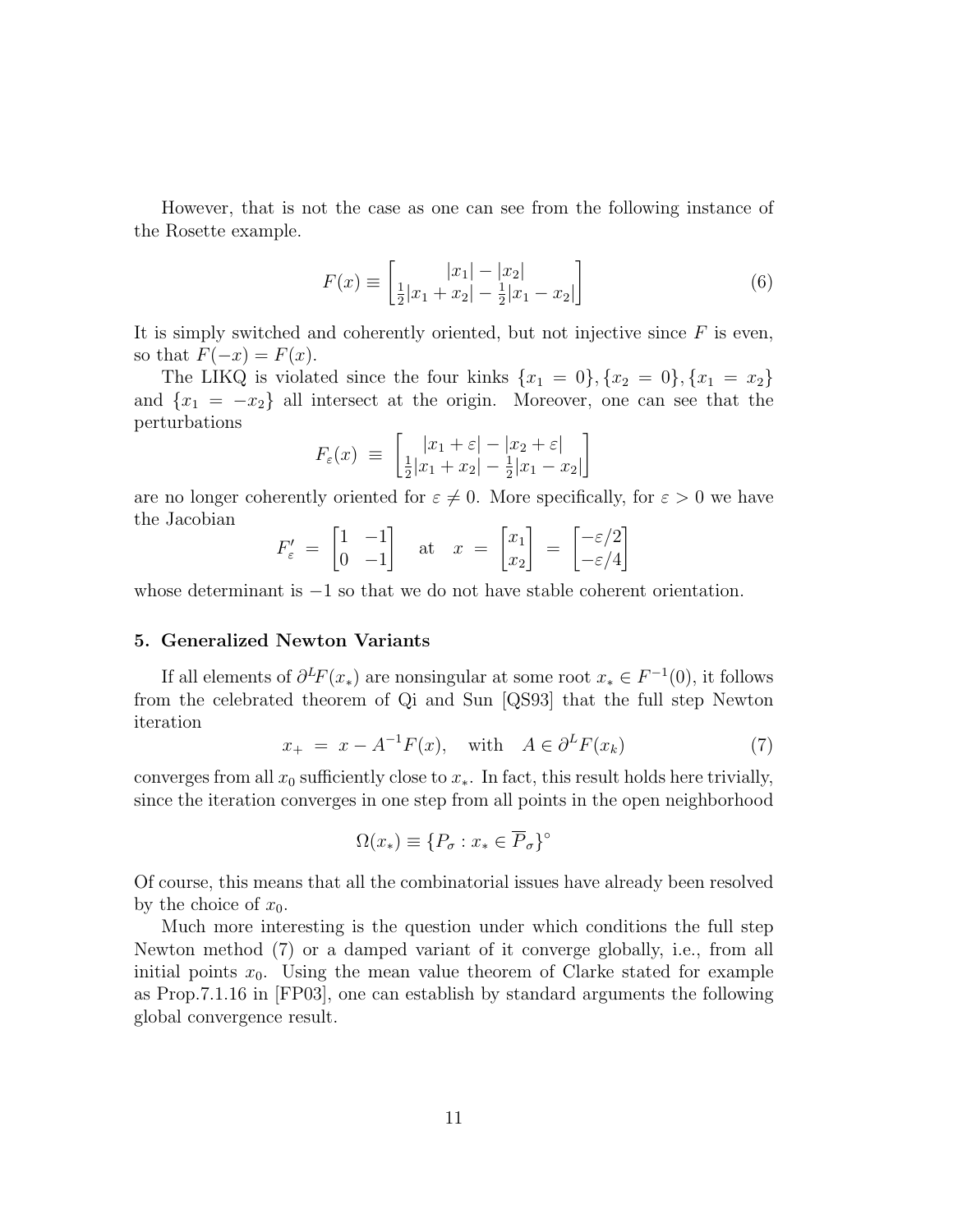However, that is not the case as one can see from the following instance of the Rosette example.

$$
F(x) \equiv \begin{bmatrix} |x_1| - |x_2| \\ \frac{1}{2}|x_1 + x_2| - \frac{1}{2}|x_1 - x_2| \end{bmatrix}
$$
 (6)

It is simply switched and coherently oriented, but not injective since  $F$  is even, so that  $F(-x) = F(x)$ .

The LIKQ is violated since the four kinks  $\{x_1 = 0\}, \{x_2 = 0\}, \{x_1 = x_2\}$ and  ${x_1 = -x_2}$  all intersect at the origin. Moreover, one can see that the perturbations

$$
F_{\varepsilon}(x) \ \equiv \ \left[ \frac{|x_1 + \varepsilon| - |x_2 + \varepsilon|}{\frac{1}{2}|x_1 + x_2| - \frac{1}{2}|x_1 - x_2|} \right]
$$

are no longer coherently oriented for  $\varepsilon \neq 0$ . More specifically, for  $\varepsilon > 0$  we have the Jacobian

$$
F'_{\varepsilon} = \begin{bmatrix} 1 & -1 \\ 0 & -1 \end{bmatrix} \quad \text{at} \quad x = \begin{bmatrix} x_1 \\ x_2 \end{bmatrix} = \begin{bmatrix} -\varepsilon/2 \\ -\varepsilon/4 \end{bmatrix}
$$

whose determinant is  $-1$  so that we do not have stable coherent orientation.

# 5. Generalized Newton Variants

If all elements of  $\partial^L F(x_*)$  are nonsingular at some root  $x_* \in F^{-1}(0)$ , it follows from the celebrated theorem of Qi and Sun [QS93] that the full step Newton iteration

$$
x_{+} = x - A^{-1}F(x), \quad \text{with} \quad A \in \partial^{L}F(x_{k})
$$
\n
$$
(7)
$$

converges from all  $x_0$  sufficiently close to  $x_*$ . In fact, this result holds here trivially, since the iteration converges in one step from all points in the open neighborhood

$$
\Omega(x_*)\equiv\{P_\sigma:x_*\in\overline{P}_\sigma\}^\circ
$$

Of course, this means that all the combinatorial issues have already been resolved by the choice of  $x_0$ .

Much more interesting is the question under which conditions the full step Newton method (7) or a damped variant of it converge globally, i.e., from all initial points  $x_0$ . Using the mean value theorem of Clarke stated for example as Prop.7.1.16 in [FP03], one can establish by standard arguments the following global convergence result.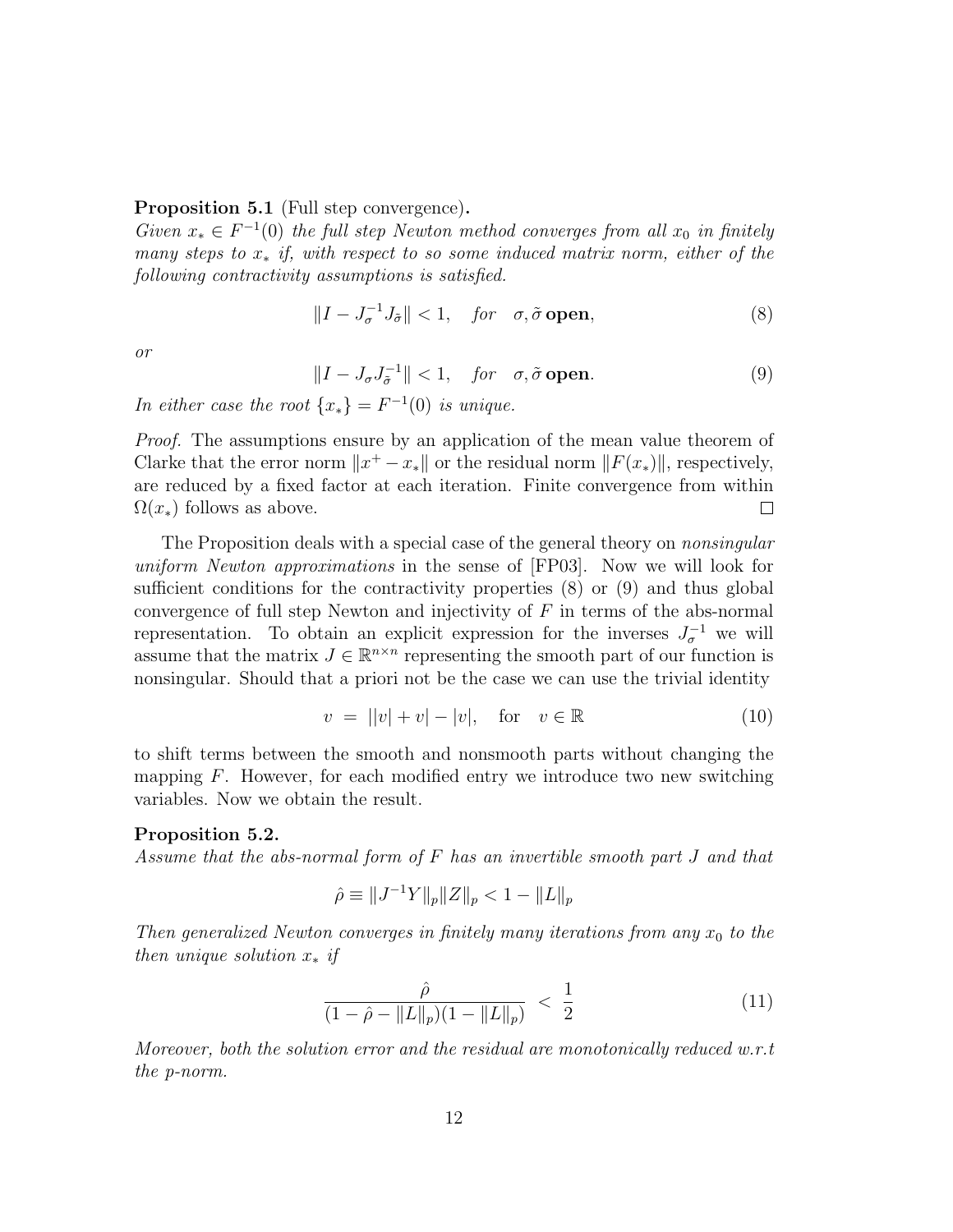## Proposition 5.1 (Full step convergence).

Given  $x_* \in F^{-1}(0)$  the full step Newton method converges from all  $x_0$  in finitely many steps to  $x_*$  if, with respect to so some induced matrix norm, either of the following contractivity assumptions is satisfied.

$$
||I - J_{\sigma}^{-1} J_{\tilde{\sigma}}|| < 1, \quad \text{for} \quad \sigma, \tilde{\sigma} \text{ open}, \tag{8}
$$

or

$$
||I - J_{\sigma}J_{\tilde{\sigma}}^{-1}|| < 1, \quad \text{for} \quad \sigma, \tilde{\sigma} \text{ open.}
$$
 (9)

In either case the root  $\{x_*\} = F^{-1}(0)$  is unique.

Proof. The assumptions ensure by an application of the mean value theorem of Clarke that the error norm  $||x^+ - x_*||$  or the residual norm  $||F(x_*)||$ , respectively, are reduced by a fixed factor at each iteration. Finite convergence from within  $\Omega(x_*)$  follows as above.  $\Box$ 

The Proposition deals with a special case of the general theory on *nonsingular* uniform Newton approximations in the sense of [FP03]. Now we will look for sufficient conditions for the contractivity properties (8) or (9) and thus global convergence of full step Newton and injectivity of  $F$  in terms of the abs-normal representation. To obtain an explicit expression for the inverses  $J_{\sigma}^{-1}$  we will assume that the matrix  $J \in \mathbb{R}^{n \times n}$  representing the smooth part of our function is nonsingular. Should that a priori not be the case we can use the trivial identity

$$
v = ||v| + v| - |v|, \quad \text{for} \quad v \in \mathbb{R} \tag{10}
$$

to shift terms between the smooth and nonsmooth parts without changing the mapping  $F$ . However, for each modified entry we introduce two new switching variables. Now we obtain the result.

# Proposition 5.2.

Assume that the abs-normal form of F has an invertible smooth part J and that

$$
\hat{\rho} \equiv \|J^{-1}Y\|_p \|Z\|_p < 1 - \|L\|_p
$$

Then generalized Newton converges in finitely many iterations from any  $x_0$  to the then unique solution  $x_*$  if

$$
\frac{\hat{\rho}}{(1-\hat{\rho}-\|L\|_p)(1-\|L\|_p)} < \frac{1}{2} \tag{11}
$$

Moreover, both the solution error and the residual are monotonically reduced  $w.r.t$ the p-norm.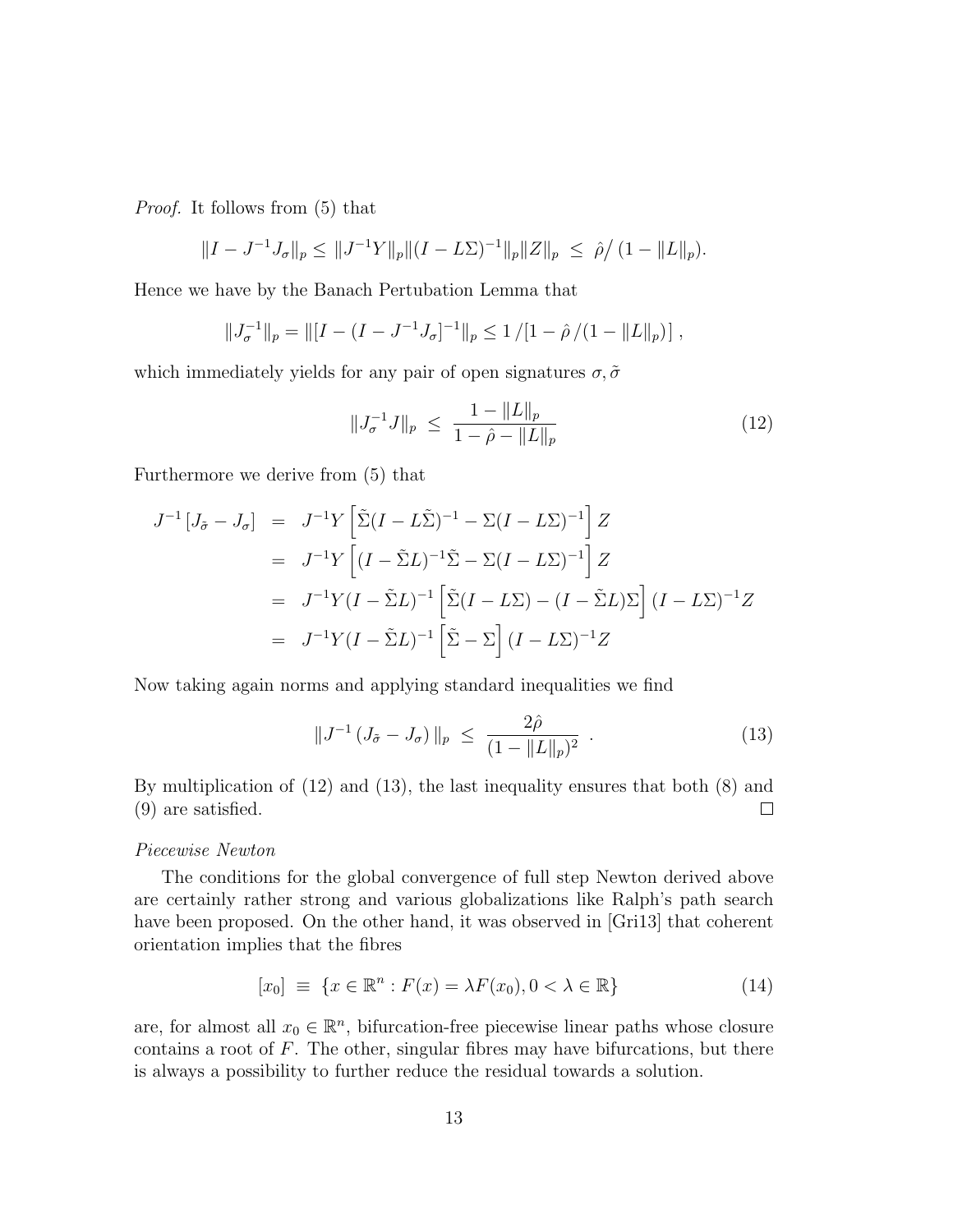Proof. It follows from (5) that

$$
||I - J^{-1}J_{\sigma}||_p \le ||J^{-1}Y||_p ||(I - L\Sigma)^{-1}||_p ||Z||_p \le \hat{\rho}/(1 - ||L||_p).
$$

Hence we have by the Banach Pertubation Lemma that

$$
||J_{\sigma}^{-1}||_p = ||[I - (I - J^{-1}J_{\sigma}]^{-1}||_p \le 1/[1 - \hat{\rho}/(1 - ||L||_p)],
$$

which immediately yields for any pair of open signatures  $\sigma$ ,  $\tilde{\sigma}$ 

$$
||J_{\sigma}^{-1}J||_{p} \le \frac{1 - ||L||_{p}}{1 - \hat{\rho} - ||L||_{p}} \tag{12}
$$

Furthermore we derive from (5) that

$$
J^{-1}\left[J_{\tilde{\sigma}} - J_{\sigma}\right] = J^{-1}Y\left[\tilde{\Sigma}(I - L\tilde{\Sigma})^{-1} - \Sigma(I - L\Sigma)^{-1}\right]Z
$$
  
\n
$$
= J^{-1}Y\left[(I - \tilde{\Sigma}L)^{-1}\tilde{\Sigma} - \Sigma(I - L\Sigma)^{-1}\right]Z
$$
  
\n
$$
= J^{-1}Y(I - \tilde{\Sigma}L)^{-1}\left[\tilde{\Sigma}(I - L\Sigma) - (I - \tilde{\Sigma}L)\Sigma\right](I - L\Sigma)^{-1}Z
$$
  
\n
$$
= J^{-1}Y(I - \tilde{\Sigma}L)^{-1}\left[\tilde{\Sigma} - \Sigma\right](I - L\Sigma)^{-1}Z
$$

Now taking again norms and applying standard inequalities we find

$$
||J^{-1} (J_{\tilde{\sigma}} - J_{\sigma})||_p \le \frac{2\hat{\rho}}{(1 - ||L||_p)^2} . \tag{13}
$$

By multiplication of (12) and (13), the last inequality ensures that both (8) and (9) are satisfied.  $\Box$ 

#### Piecewise Newton

The conditions for the global convergence of full step Newton derived above are certainly rather strong and various globalizations like Ralph's path search have been proposed. On the other hand, it was observed in [Gri13] that coherent orientation implies that the fibres

$$
[x_0] \equiv \{ x \in \mathbb{R}^n : F(x) = \lambda F(x_0), 0 < \lambda \in \mathbb{R} \} \tag{14}
$$

are, for almost all  $x_0 \in \mathbb{R}^n$ , bifurcation-free piecewise linear paths whose closure contains a root of  $F$ . The other, singular fibres may have bifurcations, but there is always a possibility to further reduce the residual towards a solution.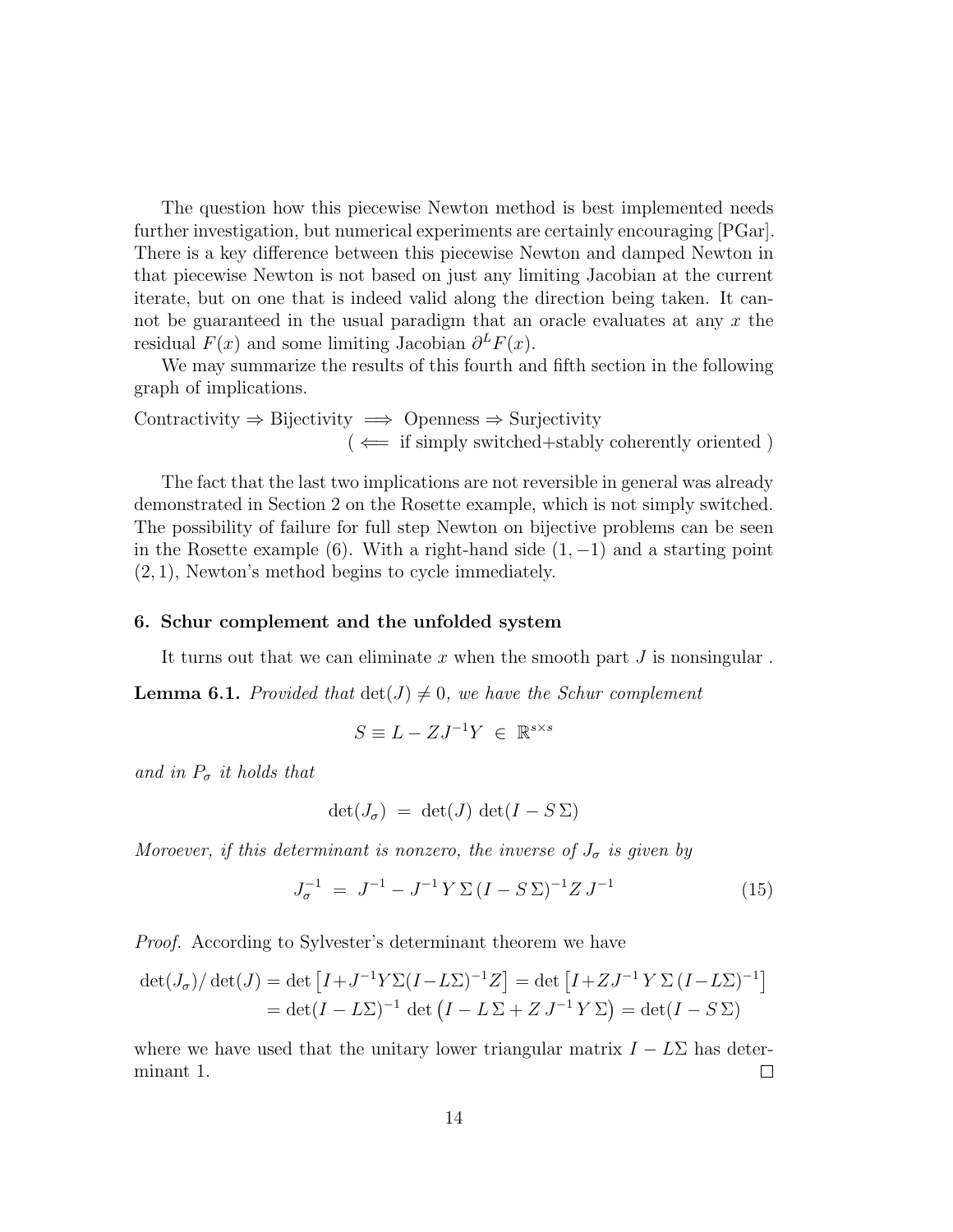The question how this piecewise Newton method is best implemented needs further investigation, but numerical experiments are certainly encouraging [PGar]. There is a key difference between this piecewise Newton and damped Newton in that piecewise Newton is not based on just any limiting Jacobian at the current iterate, but on one that is indeed valid along the direction being taken. It cannot be guaranteed in the usual paradigm that an oracle evaluates at any x the residual  $F(x)$  and some limiting Jacobian  $\partial^L F(x)$ .

We may summarize the results of this fourth and fifth section in the following graph of implications.

$$
Contractivity \Rightarrow Bijectivity \implies Oppeness \Rightarrow Surjectivity
$$
  
( ← if simply switched+stably coherently oriented )

The fact that the last two implications are not reversible in general was already demonstrated in Section 2 on the Rosette example, which is not simply switched. The possibility of failure for full step Newton on bijective problems can be seen in the Rosette example (6). With a right-hand side  $(1, -1)$  and a starting point (2, 1), Newton's method begins to cycle immediately.

#### 6. Schur complement and the unfolded system

It turns out that we can eliminate  $x$  when the smooth part  $J$  is nonsingular.

**Lemma 6.1.** Provided that  $det(J) \neq 0$ , we have the Schur complement

$$
S \equiv L - ZJ^{-1}Y \in \mathbb{R}^{s \times s}
$$

and in  $P_{\sigma}$  it holds that

$$
\det(J_{\sigma}) = \det(J) \, \det(I - S \, \Sigma)
$$

Moroever, if this determinant is nonzero, the inverse of  $J_{\sigma}$  is given by

$$
J_{\sigma}^{-1} = J^{-1} - J^{-1} Y \Sigma (I - S \Sigma)^{-1} Z J^{-1}
$$
 (15)

Proof. According to Sylvester's determinant theorem we have

$$
\det(J_{\sigma})/\det(J) = \det \left[ I + J^{-1} Y \Sigma (I - L\Sigma)^{-1} Z \right] = \det \left[ I + Z J^{-1} Y \Sigma (I - L\Sigma)^{-1} \right]
$$

$$
= \det(I - L\Sigma)^{-1} \det \left( I - L \Sigma + Z J^{-1} Y \Sigma \right) = \det(I - S \Sigma)
$$

where we have used that the unitary lower triangular matrix  $I - L\Sigma$  has deter-<br>minant 1. minant 1.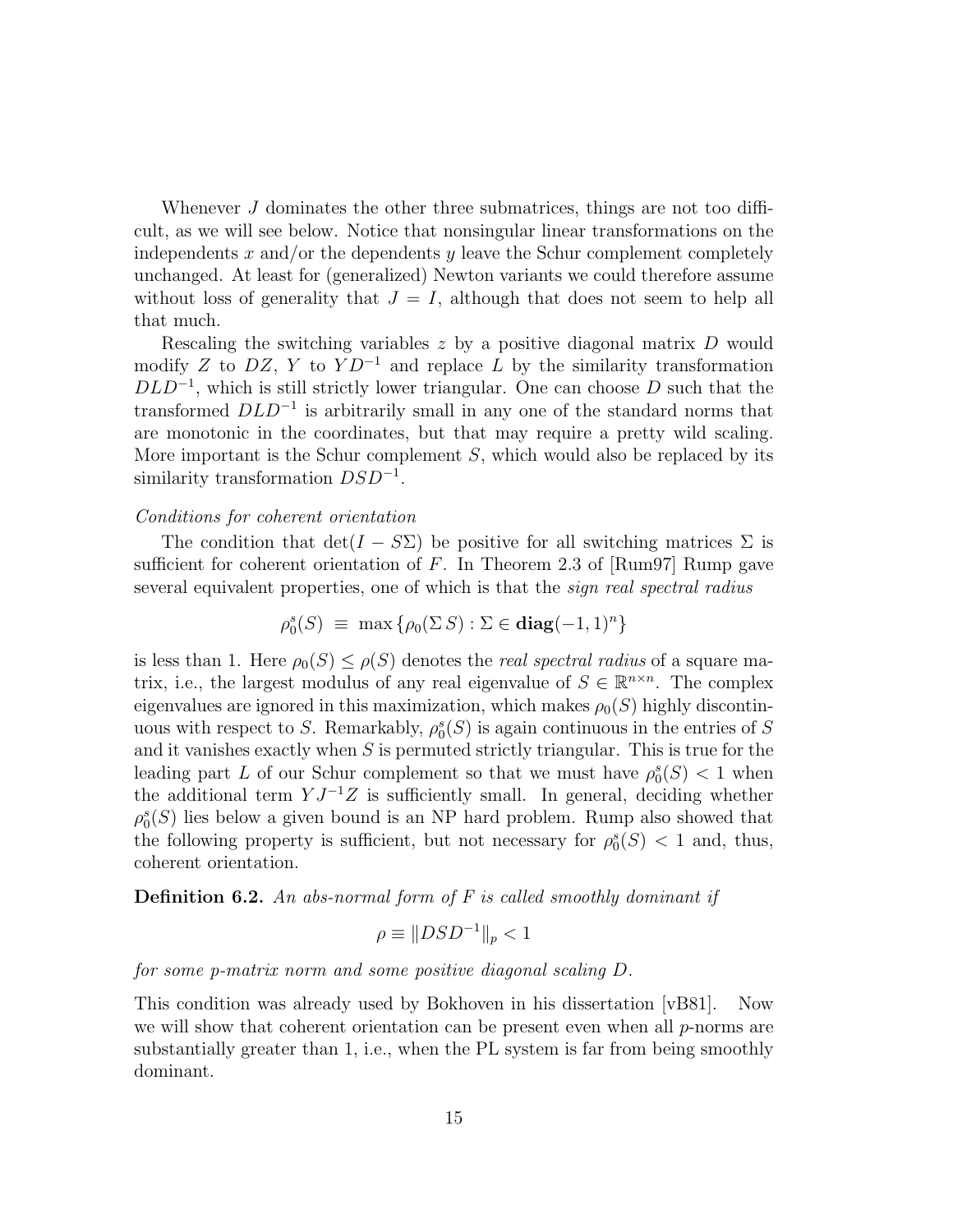Whenever J dominates the other three submatrices, things are not too difficult, as we will see below. Notice that nonsingular linear transformations on the independents x and/or the dependents y leave the Schur complement completely unchanged. At least for (generalized) Newton variants we could therefore assume without loss of generality that  $J = I$ , although that does not seem to help all that much.

Rescaling the switching variables  $z$  by a positive diagonal matrix  $D$  would modify Z to  $DZ$ , Y to  $Y D^{-1}$  and replace L by the similarity transformation  $DLD^{-1}$ , which is still strictly lower triangular. One can choose D such that the transformed  $DLD^{-1}$  is arbitrarily small in any one of the standard norms that are monotonic in the coordinates, but that may require a pretty wild scaling. More important is the Schur complement  $S$ , which would also be replaced by its similarity transformation  $DSD^{-1}$ .

## Conditions for coherent orientation

The condition that  $\det(I - S\Sigma)$  be positive for all switching matrices  $\Sigma$  is sufficient for coherent orientation of  $F$ . In Theorem 2.3 of [Rum97] Rump gave several equivalent properties, one of which is that the sign real spectral radius

$$
\rho_0^s(S) \equiv \max \{ \rho_0(\Sigma S) : \Sigma \in \mathbf{diag}(-1,1)^n \}
$$

is less than 1. Here  $\rho_0(S) \leq \rho(S)$  denotes the *real spectral radius* of a square matrix, i.e., the largest modulus of any real eigenvalue of  $S \in \mathbb{R}^{n \times n}$ . The complex eigenvalues are ignored in this maximization, which makes  $\rho_0(S)$  highly discontinuous with respect to S. Remarkably,  $\rho_0^s(S)$  is again continuous in the entries of S and it vanishes exactly when  $S$  is permuted strictly triangular. This is true for the leading part L of our Schur complement so that we must have  $\rho_0^s(S) < 1$  when the additional term  $Y J^{-1}Z$  is sufficiently small. In general, deciding whether  $\rho_0^s(S)$  lies below a given bound is an NP hard problem. Rump also showed that the following property is sufficient, but not necessary for  $\rho_0^s(S) < 1$  and, thus, coherent orientation.

**Definition 6.2.** An abs-normal form of  $F$  is called smoothly dominant if

$$
\rho \equiv \|DSD^{-1}\|_p < 1
$$

for some p-matrix norm and some positive diagonal scaling D.

This condition was already used by Bokhoven in his dissertation [vB81]. Now we will show that coherent orientation can be present even when all  $p$ -norms are substantially greater than 1, i.e., when the PL system is far from being smoothly dominant.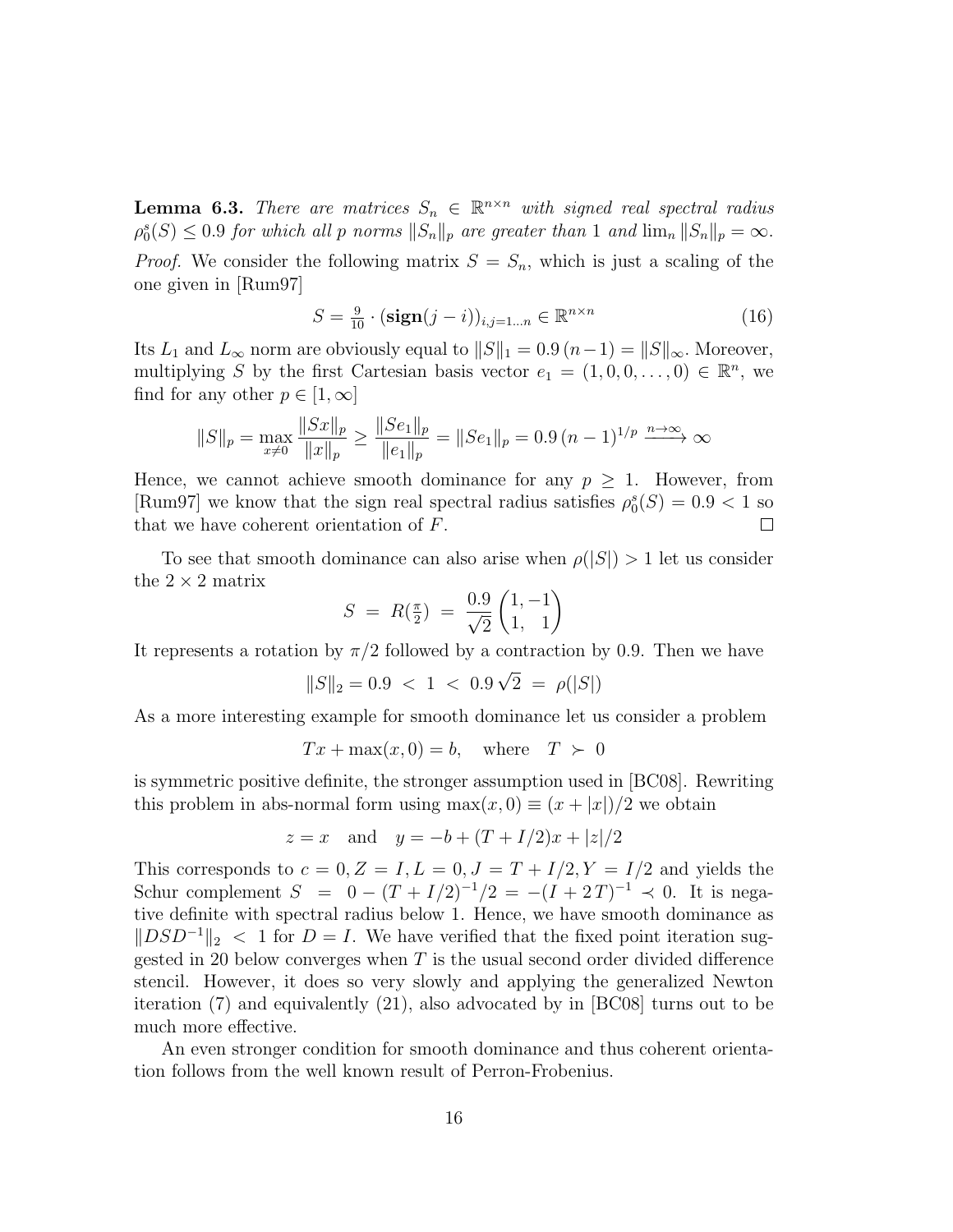**Lemma 6.3.** There are matrices  $S_n \in \mathbb{R}^{n \times n}$  with signed real spectral radius  $\rho_0^s(S) \leq 0.9$  for which all p norms  $||S_n||_p$  are greater than 1 and  $\lim_n ||S_n||_p = \infty$ . *Proof.* We consider the following matrix  $S = S_n$ , which is just a scaling of the one given in [Rum97]

$$
S = \frac{9}{10} \cdot (\mathbf{sign}(j - i))_{i,j=1...n} \in \mathbb{R}^{n \times n}
$$
 (16)

Its  $L_1$  and  $L_\infty$  norm are obviously equal to  $||S||_1 = 0.9 (n-1) = ||S||_\infty$ . Moreover, multiplying S by the first Cartesian basis vector  $e_1 = (1, 0, 0, \ldots, 0) \in \mathbb{R}^n$ , we find for any other  $p \in [1,\infty]$ 

$$
||S||_p = \max_{x \neq 0} \frac{||Sx||_p}{||x||_p} \ge \frac{||Se_1||_p}{||e_1||_p} = ||Se_1||_p = 0.9 (n - 1)^{1/p} \xrightarrow{n \to \infty} \infty
$$

Hence, we cannot achieve smooth dominance for any  $p > 1$ . However, from [Rum97] we know that the sign real spectral radius satisfies  $\rho_0^s(S) = 0.9 < 1$  so that we have coherent orientation of F.  $\Box$ 

To see that smooth dominance can also arise when  $\rho(|S|) > 1$  let us consider the  $2 \times 2$  matrix

$$
S = R(\frac{\pi}{2}) = \frac{0.9}{\sqrt{2}} \begin{pmatrix} 1, -1 \\ 1, 1 \end{pmatrix}
$$

It represents a rotation by  $\pi/2$  followed by a contraction by 0.9. Then we have

$$
||S||_2 = 0.9 < 1 < 0.9\sqrt{2} = \rho(|S|)
$$

As a more interesting example for smooth dominance let us consider a problem

$$
Tx + \max(x, 0) = b, \quad \text{where} \quad T \succ 0
$$

is symmetric positive definite, the stronger assumption used in [BC08]. Rewriting this problem in abs-normal form using  $\max(x, 0) \equiv (x + |x|)/2$  we obtain

$$
z = x
$$
 and  $y = -b + (T + I/2)x + |z|/2$ 

This corresponds to  $c = 0, Z = I, L = 0, J = T + I/2, Y = I/2$  and yields the Schur complement  $S = 0 - (T + I/2)^{-1/2} = -(I + 2T)^{-1} \prec 0$ . It is negative definite with spectral radius below 1. Hence, we have smooth dominance as  $||DSD^{-1}||_2 < 1$  for  $D = I$ . We have verified that the fixed point iteration suggested in 20 below converges when  $T$  is the usual second order divided difference stencil. However, it does so very slowly and applying the generalized Newton iteration (7) and equivalently (21), also advocated by in [BC08] turns out to be much more effective.

An even stronger condition for smooth dominance and thus coherent orientation follows from the well known result of Perron-Frobenius.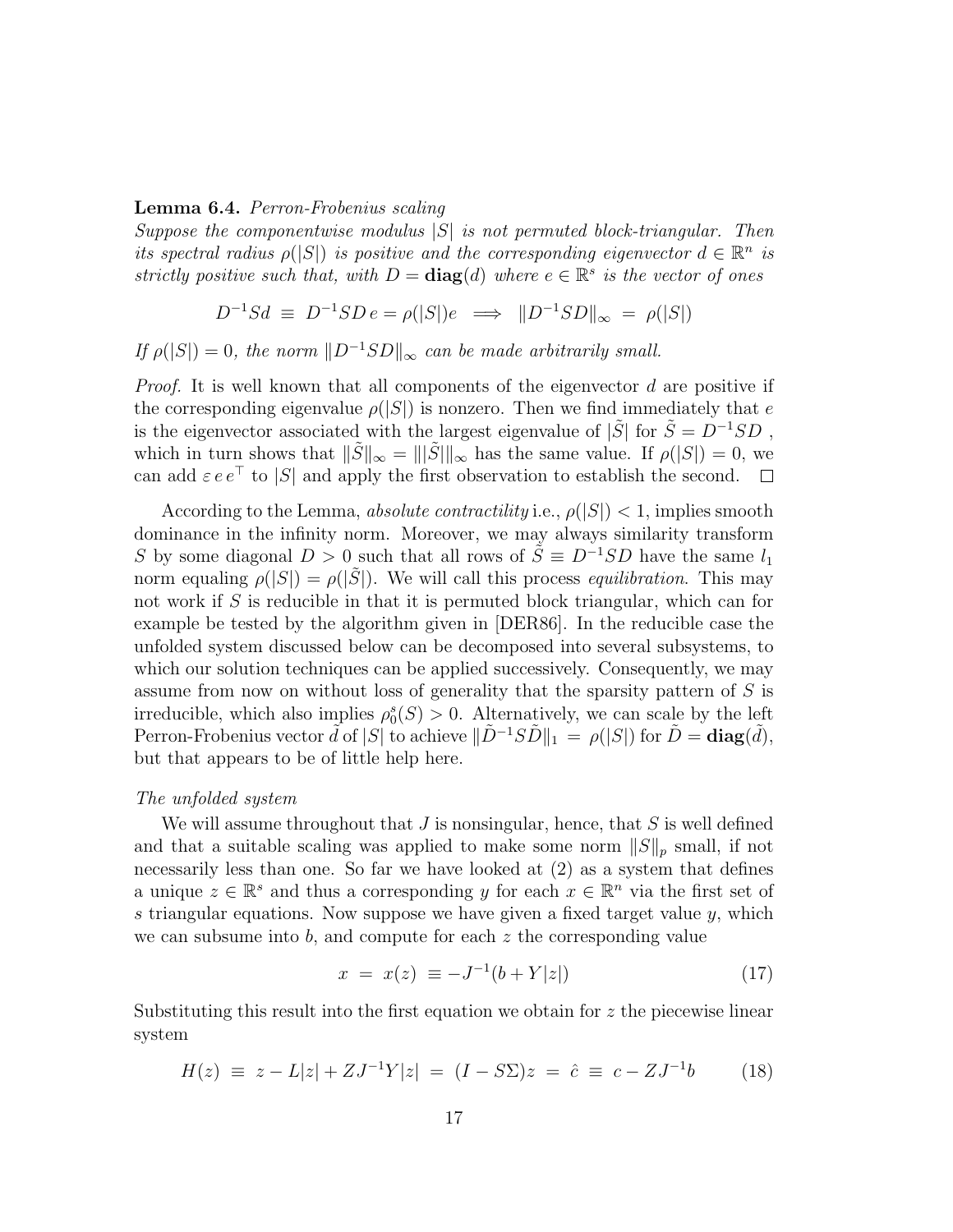## Lemma 6.4. Perron-Frobenius scaling

Suppose the componentwise modulus  $|S|$  is not permuted block-triangular. Then its spectral radius  $\rho(|S|)$  is positive and the corresponding eigenvector  $d \in \mathbb{R}^n$  is strictly positive such that, with  $D = diag(d)$  where  $e \in \mathbb{R}^s$  is the vector of ones

$$
D^{-1}Sd \ \equiv \ D^{-1}SD \ e = \rho(|S|)e \ \implies \ \|D^{-1}SD\|_{\infty} \ = \ \rho(|S|)
$$

If  $\rho(|S|) = 0$ , the norm  $||D^{-1}SD||_{\infty}$  can be made arbitrarily small.

*Proof.* It is well known that all components of the eigenvector  $d$  are positive if the corresponding eigenvalue  $\rho(|S|)$  is nonzero. Then we find immediately that e is the eigenvector associated with the largest eigenvalue of  $|\tilde{S}|$  for  $\tilde{S} = D^{-1}SD$ , which in turn shows that  $\|\tilde{S}\|_{\infty} = \||\tilde{S}\|_{\infty}$  has the same value. If  $\rho(|S|) = 0$ , we can add  $\varepsilon e e^{\top}$  to  $|S|$  and apply the first observation to establish the second.  $\square$ can add  $\varepsilon e e^{\top}$  to |S| and apply the first observation to establish the second.

According to the Lemma, absolute contractility i.e.,  $\rho(|S|) < 1$ , implies smooth dominance in the infinity norm. Moreover, we may always similarity transform S by some diagonal  $D > 0$  such that all rows of  $\tilde{S} \equiv D^{-1}SD$  have the same  $l_1$ norm equaling  $\rho(|S|) = \rho(|\tilde{S}|)$ . We will call this process *equilibration*. This may not work if S is reducible in that it is permuted block triangular, which can for example be tested by the algorithm given in [DER86]. In the reducible case the unfolded system discussed below can be decomposed into several subsystems, to which our solution techniques can be applied successively. Consequently, we may assume from now on without loss of generality that the sparsity pattern of S is irreducible, which also implies  $\rho_0^s(S) > 0$ . Alternatively, we can scale by the left Perron-Frobenius vector  $\tilde{d}$  of |S| to achieve  $\|\tilde{D}^{-1}S\tilde{D}\|_1 = \rho(|S|)$  for  $\tilde{D} = \mathbf{diag}(\tilde{d}),$ but that appears to be of little help here.

### The unfolded system

We will assume throughout that  $J$  is nonsingular, hence, that  $S$  is well defined and that a suitable scaling was applied to make some norm  $||S||_p$  small, if not necessarily less than one. So far we have looked at (2) as a system that defines a unique  $z \in \mathbb{R}^s$  and thus a corresponding y for each  $x \in \mathbb{R}^n$  via the first set of s triangular equations. Now suppose we have given a fixed target value y, which we can subsume into  $b$ , and compute for each  $z$  the corresponding value

$$
x = x(z) \equiv -J^{-1}(b + Y|z|)
$$
 (17)

Substituting this result into the first equation we obtain for  $z$  the piecewise linear system

$$
H(z) \equiv z - L|z| + ZJ^{-1}Y|z| = (I - S\Sigma)z = \hat{c} \equiv c - ZJ^{-1}b \tag{18}
$$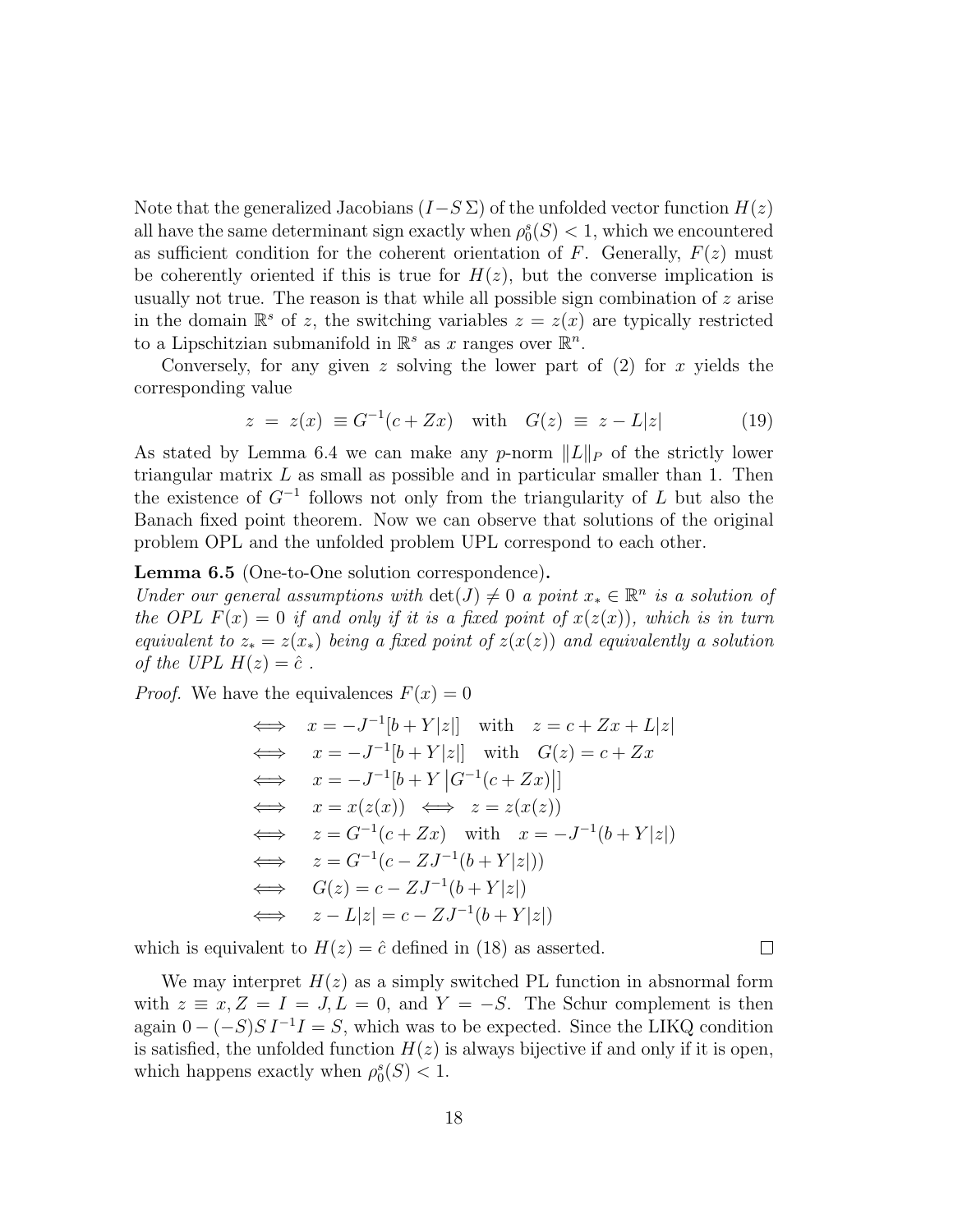Note that the generalized Jacobians  $(I-S \Sigma)$  of the unfolded vector function  $H(z)$ all have the same determinant sign exactly when  $\rho_0^s(S) < 1$ , which we encountered as sufficient condition for the coherent orientation of F. Generally,  $F(z)$  must be coherently oriented if this is true for  $H(z)$ , but the converse implication is usually not true. The reason is that while all possible sign combination of  $z$  arise in the domain  $\mathbb{R}^s$  of z, the switching variables  $z = z(x)$  are typically restricted to a Lipschitzian submanifold in  $\mathbb{R}^s$  as x ranges over  $\mathbb{R}^n$ .

Conversely, for any given z solving the lower part of  $(2)$  for x yields the corresponding value

$$
z = z(x) \equiv G^{-1}(c + Zx)
$$
 with  $G(z) \equiv z - L|z|$  (19)

As stated by Lemma 6.4 we can make any p-norm  $||L||_P$  of the strictly lower triangular matrix L as small as possible and in particular smaller than 1. Then the existence of  $G^{-1}$  follows not only from the triangularity of L but also the Banach fixed point theorem. Now we can observe that solutions of the original problem OPL and the unfolded problem UPL correspond to each other.

Lemma 6.5 (One-to-One solution correspondence).

Under our general assumptions with  $\det(J) \neq 0$  a point  $x_* \in \mathbb{R}^n$  is a solution of the OPL  $F(x) = 0$  if and only if it is a fixed point of  $x(z(x))$ , which is in turn equivalent to  $z_* = z(x_*)$  being a fixed point of  $z(x(z))$  and equivalently a solution of the UPL  $H(z) = \hat{c}$ .

*Proof.* We have the equivalences  $F(x) = 0$ 

$$
\iff x = -J^{-1}[b + Y|z|] \text{ with } z = c + Zx + L|z|
$$
  
\n
$$
\iff x = -J^{-1}[b + Y|z|] \text{ with } G(z) = c + Zx
$$
  
\n
$$
\iff x = -J^{-1}[b + Y|G^{-1}(c + Zx)|]
$$
  
\n
$$
\iff x = x(z(x)) \iff z = z(x(z))
$$
  
\n
$$
\iff z = G^{-1}(c + Zx) \text{ with } x = -J^{-1}(b + Y|z|)
$$
  
\n
$$
\iff G(z) = c - ZJ^{-1}(b + Y|z|)
$$
  
\n
$$
\iff G(z) = c - ZJ^{-1}(b + Y|z|)
$$

which is equivalent to  $H(z) = \hat{c}$  defined in (18) as asserted.

We may interpret  $H(z)$  as a simply switched PL function in absnormal form with  $z \equiv x, Z = I = J, L = 0$ , and  $Y = -S$ . The Schur complement is then again  $0 - (-S)S I^{-1}I = S$ , which was to be expected. Since the LIKQ condition is satisfied, the unfolded function  $H(z)$  is always bijective if and only if it is open, which happens exactly when  $\rho_0^s(S) < 1$ .

 $\Box$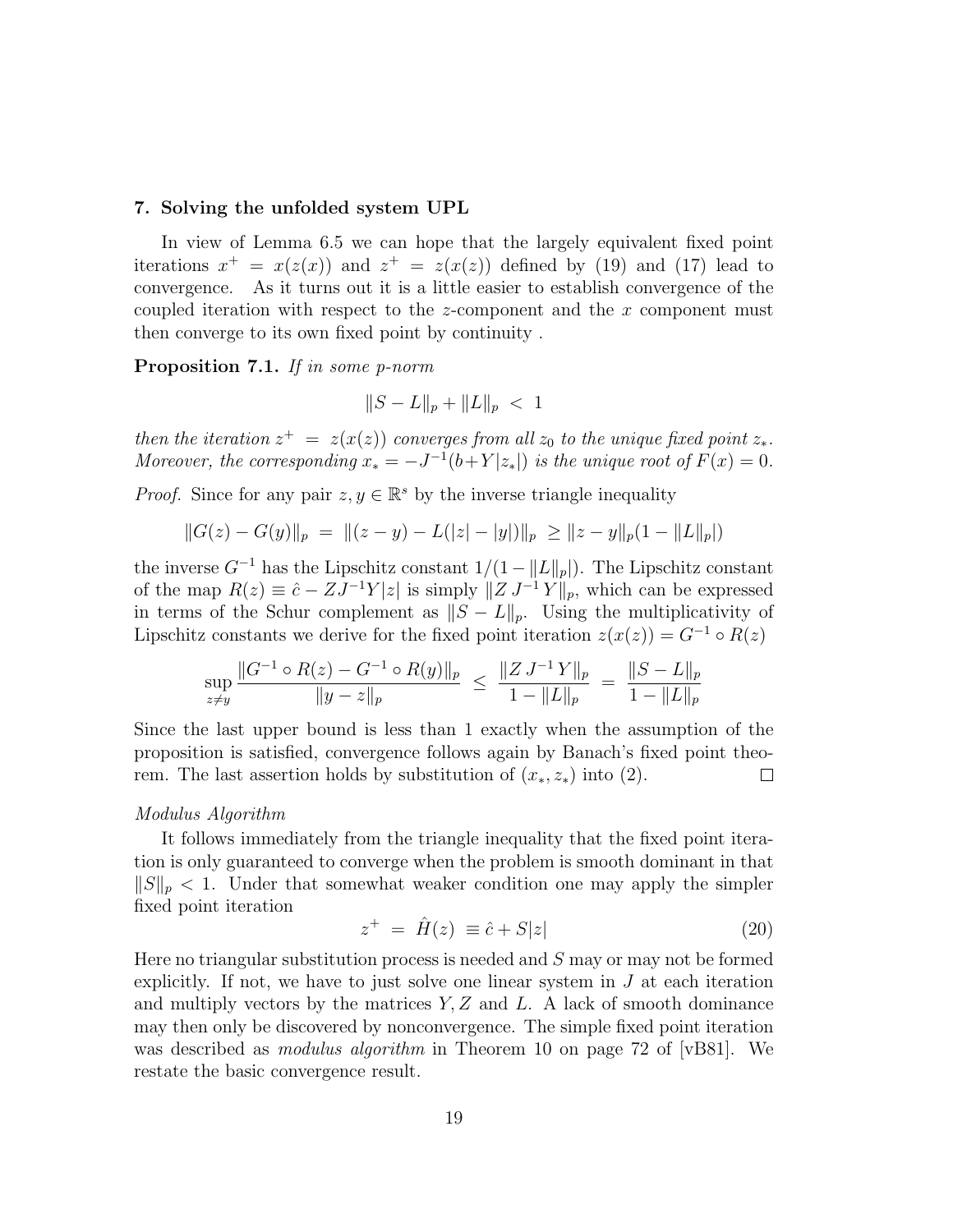#### 7. Solving the unfolded system UPL

In view of Lemma 6.5 we can hope that the largely equivalent fixed point iterations  $x^+ = x(z(x))$  and  $z^+ = z(x(z))$  defined by (19) and (17) lead to convergence. As it turns out it is a little easier to establish convergence of the coupled iteration with respect to the z-component and the x component must then converge to its own fixed point by continuity .

Proposition 7.1. If in some p-norm

$$
||S - L||_p + ||L||_p < 1
$$

then the iteration  $z^+ = z(x(z))$  converges from all  $z_0$  to the unique fixed point  $z_*$ . Moreover, the corresponding  $x_* = -J^{-1}(b+Y|z_*|)$  is the unique root of  $F(x) = 0$ .

*Proof.* Since for any pair  $z, y \in \mathbb{R}^s$  by the inverse triangle inequality

$$
||G(z) - G(y)||_p = ||(z - y) - L(|z| - |y|)||_p \ge ||z - y||_p(1 - ||L||_p|)
$$

the inverse  $G^{-1}$  has the Lipschitz constant  $1/(1 - ||L||_p)$ . The Lipschitz constant of the map  $R(z) \equiv \hat{c} - ZJ^{-1}Y|z|$  is simply  $||Z J^{-1}Y||_p$ , which can be expressed in terms of the Schur complement as  $||S - L||_p$ . Using the multiplicativity of Lipschitz constants we derive for the fixed point iteration  $z(x(z)) = G^{-1} \circ R(z)$ 

$$
\sup_{z \neq y} \frac{\|G^{-1} \circ R(z) - G^{-1} \circ R(y)\|_p}{\|y - z\|_p} \ \leq \ \frac{\|Z J^{-1} Y\|_p}{1 - \|L\|_p} \ = \ \frac{\|S - L\|_p}{1 - \|L\|_p}
$$

Since the last upper bound is less than 1 exactly when the assumption of the proposition is satisfied, convergence follows again by Banach's fixed point theorem. The last assertion holds by substitution of  $(x_*, z_*)$  into (2).  $\Box$ 

#### Modulus Algorithm

It follows immediately from the triangle inequality that the fixed point iteration is only guaranteed to converge when the problem is smooth dominant in that  $||S||_p < 1$ . Under that somewhat weaker condition one may apply the simpler fixed point iteration

$$
z^{+} = \hat{H}(z) \equiv \hat{c} + S|z| \tag{20}
$$

Here no triangular substitution process is needed and S may or may not be formed explicitly. If not, we have to just solve one linear system in  $J$  at each iteration and multiply vectors by the matrices  $Y, Z$  and L. A lack of smooth dominance may then only be discovered by nonconvergence. The simple fixed point iteration was described as *modulus algorithm* in Theorem 10 on page 72 of [vB81]. We restate the basic convergence result.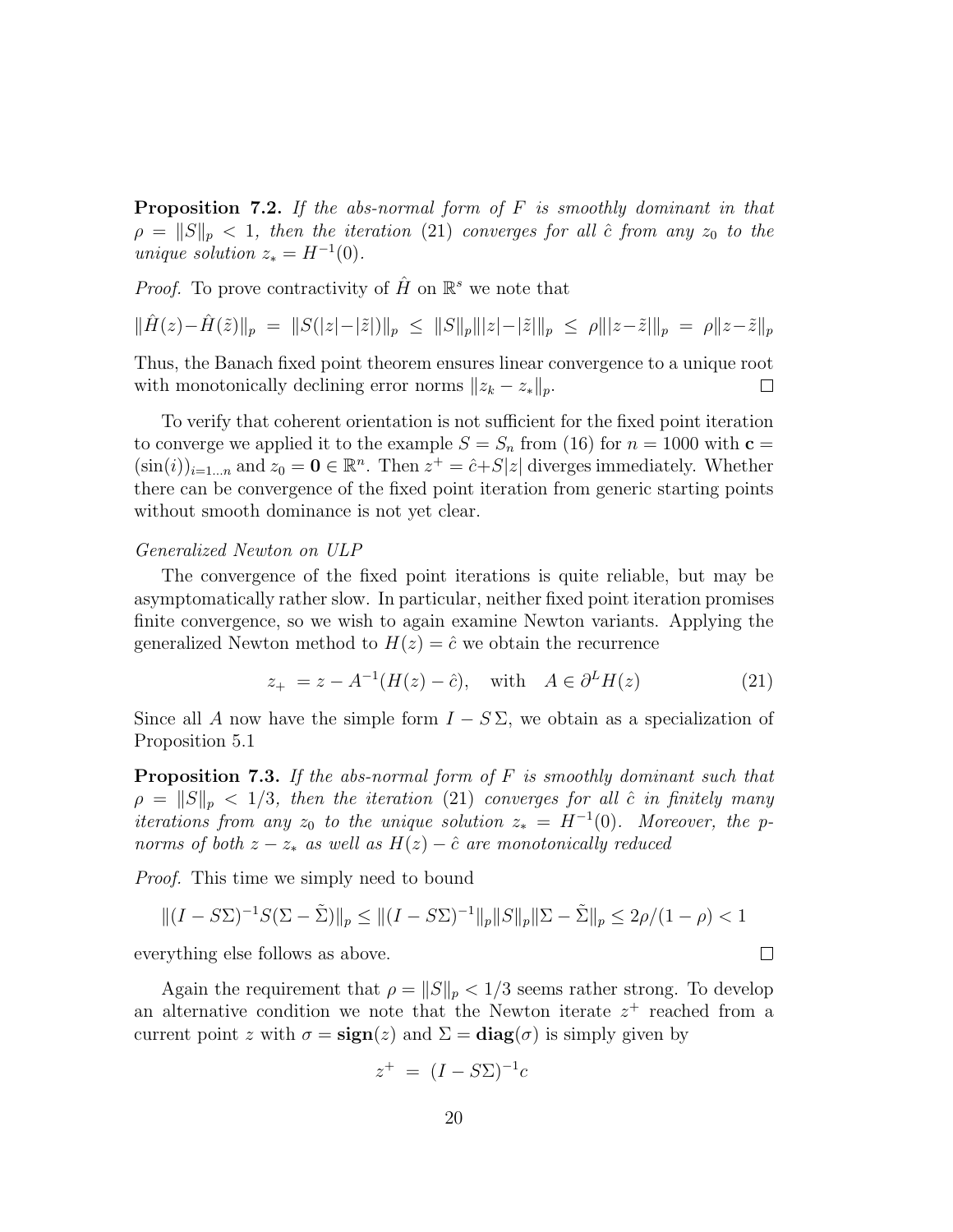Proposition 7.2. If the abs-normal form of F is smoothly dominant in that  $\rho = ||S||_p < 1$ , then the iteration (21) converges for all  $\hat{c}$  from any  $z_0$  to the unique solution  $z_* = H^{-1}(0)$ .

*Proof.* To prove contractivity of  $\hat{H}$  on  $\mathbb{R}^s$  we note that

$$
\|\hat{H}(z) - \hat{H}(\tilde{z})\|_{p} = \|S(|z| - |\tilde{z}|)\|_{p} \le \|S\|_{p}\| |z| - |\tilde{z}|\|_{p} \le \rho \| |z - \tilde{z}|\|_{p} = \rho \|z - \tilde{z}\|_{p}
$$

Thus, the Banach fixed point theorem ensures linear convergence to a unique root with monotonically declining error norms  $||z_k - z_*||_p$ .  $\Box$ 

To verify that coherent orientation is not sufficient for the fixed point iteration to converge we applied it to the example  $S = S_n$  from (16) for  $n = 1000$  with  $c =$  $(\sin(i))_{i=1...n}$  and  $z_0 = \mathbf{0} \in \mathbb{R}^n$ . Then  $z^+ = \hat{c} + S|z|$  diverges immediately. Whether there can be convergence of the fixed point iteration from generic starting points without smooth dominance is not yet clear.

### Generalized Newton on ULP

The convergence of the fixed point iterations is quite reliable, but may be asymptomatically rather slow. In particular, neither fixed point iteration promises finite convergence, so we wish to again examine Newton variants. Applying the generalized Newton method to  $H(z) = \hat{c}$  we obtain the recurrence

$$
z_{+} = z - A^{-1}(H(z) - \hat{c}), \quad \text{with} \quad A \in \partial^{L} H(z) \tag{21}
$$

Since all A now have the simple form  $I - S \Sigma$ , we obtain as a specialization of Proposition 5.1

**Proposition 7.3.** If the abs-normal form of  $F$  is smoothly dominant such that  $\rho = ||S||_p < 1/3$ , then the iteration (21) converges for all  $\hat{c}$  in finitely many iterations from any  $z_0$  to the unique solution  $z_* = H^{-1}(0)$ . Moreover, the pnorms of both  $z - z_*$  as well as  $H(z) - \hat{c}$  are monotonically reduced

Proof. This time we simply need to bound

$$
\|(I - S\Sigma)^{-1}S(\Sigma - \tilde{\Sigma})\|_{p} \le \|(I - S\Sigma)^{-1}\|_{p} \|S\|_{p} \|\Sigma - \tilde{\Sigma}\|_{p} \le 2\rho/(1 - \rho) < 1
$$

everything else follows as above.

Again the requirement that  $\rho = ||S||_p < 1/3$  seems rather strong. To develop an alternative condition we note that the Newton iterate  $z^+$  reached from a current point z with  $\sigma = \text{sign}(z)$  and  $\Sigma = \text{diag}(\sigma)$  is simply given by

$$
z^+ = (I - S\Sigma)^{-1}c
$$

 $\Box$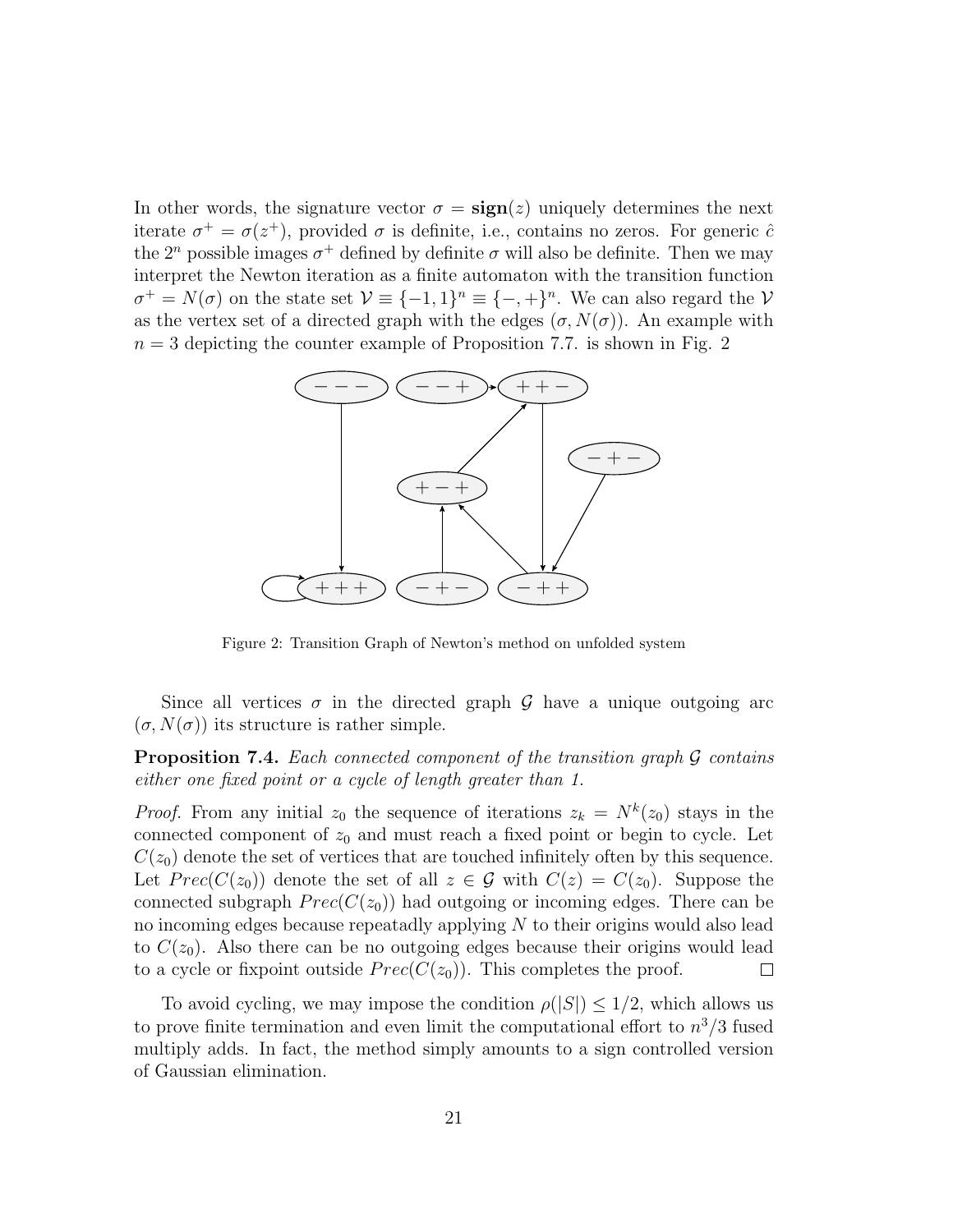In other words, the signature vector  $\sigma = \text{sign}(z)$  uniquely determines the next iterate  $\sigma^+ = \sigma(z^+)$ , provided  $\sigma$  is definite, i.e., contains no zeros. For generic  $\hat{c}$ the  $2^n$  possible images  $\sigma^+$  defined by definite  $\sigma$  will also be definite. Then we may interpret the Newton iteration as a finite automaton with the transition function  $\sigma^+ = N(\sigma)$  on the state set  $\mathcal{V} \equiv \{-1,1\}^n \equiv \{-,+\}^n$ . We can also regard the  $\mathcal{V}$ as the vertex set of a directed graph with the edges  $(\sigma, N(\sigma))$ . An example with  $n = 3$  depicting the counter example of Proposition 7.7. is shown in Fig. 2



Figure 2: Transition Graph of Newton's method on unfolded system

Since all vertices  $\sigma$  in the directed graph G have a unique outgoing arc  $(\sigma, N(\sigma))$  its structure is rather simple.

**Proposition 7.4.** Each connected component of the transition graph  $\mathcal G$  contains either one fixed point or a cycle of length greater than 1.

*Proof.* From any initial  $z_0$  the sequence of iterations  $z_k = N^k(z_0)$  stays in the connected component of  $z_0$  and must reach a fixed point or begin to cycle. Let  $C(z_0)$  denote the set of vertices that are touched infinitely often by this sequence. Let  $Prec(C(z_0))$  denote the set of all  $z \in \mathcal{G}$  with  $C(z) = C(z_0)$ . Suppose the connected subgraph  $Prec(C(z_0))$  had outgoing or incoming edges. There can be no incoming edges because repeatadly applying N to their origins would also lead to  $C(z_0)$ . Also there can be no outgoing edges because their origins would lead to a cycle or fixpoint outside  $Prec(C(z_0))$ . This completes the proof.  $\Box$ 

To avoid cycling, we may impose the condition  $\rho(|S|) \leq 1/2$ , which allows us to prove finite termination and even limit the computational effort to  $n^3/3$  fused multiply adds. In fact, the method simply amounts to a sign controlled version of Gaussian elimination.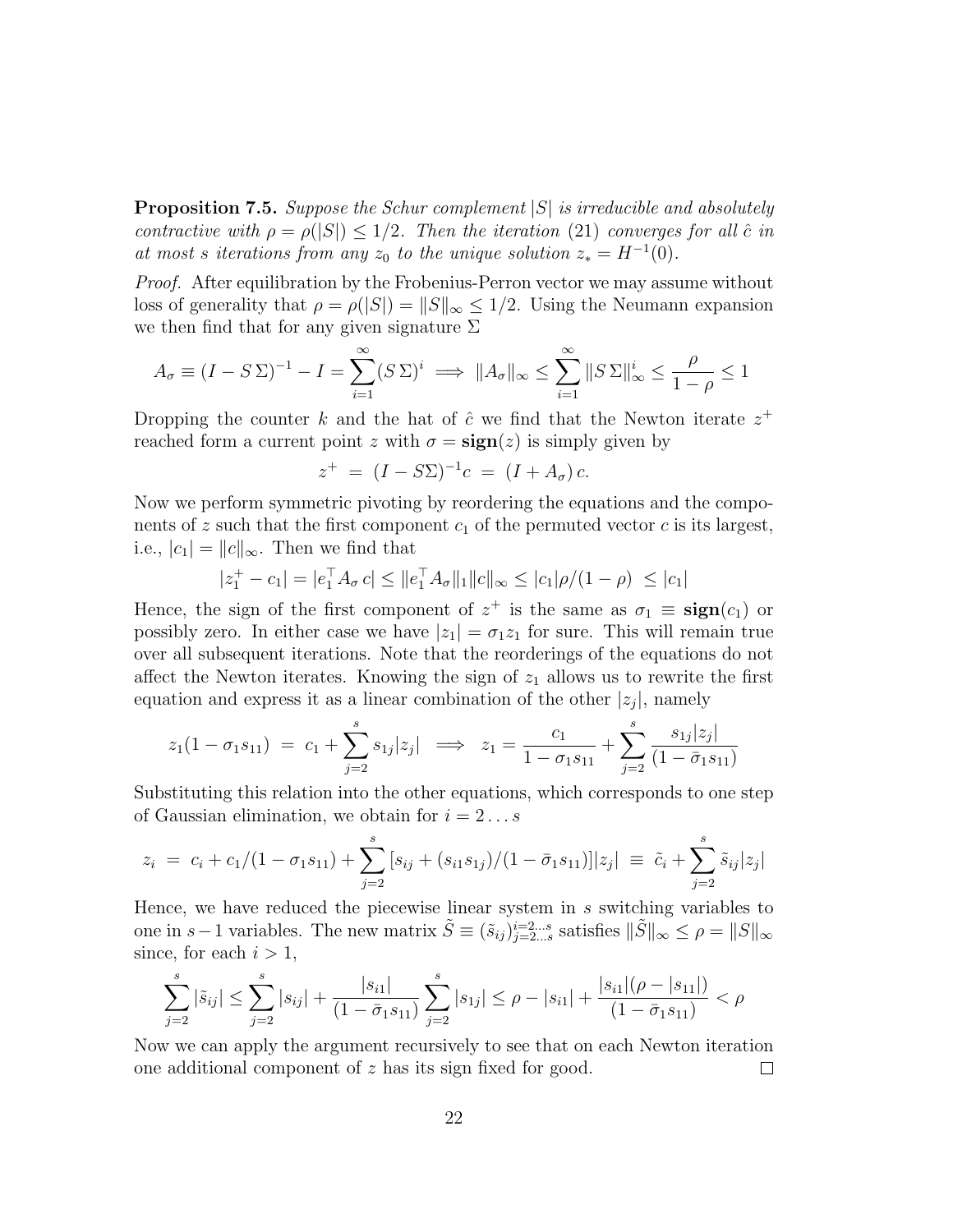**Proposition 7.5.** Suppose the Schur complement  $|S|$  is irreducible and absolutely contractive with  $\rho = \rho(|S|) \leq 1/2$ . Then the iteration (21) converges for all  $\hat{c}$  in at most s iterations from any  $z_0$  to the unique solution  $z_* = H^{-1}(0)$ .

Proof. After equilibration by the Frobenius-Perron vector we may assume without loss of generality that  $\rho = \rho(|S|) = ||S||_{\infty} \leq 1/2$ . Using the Neumann expansion we then find that for any given signature  $\Sigma$ 

$$
A_{\sigma} \equiv (I - S\Sigma)^{-1} - I = \sum_{i=1}^{\infty} (S\Sigma)^i \implies \|A_{\sigma}\|_{\infty} \le \sum_{i=1}^{\infty} \|S\Sigma\|_{\infty}^i \le \frac{\rho}{1 - \rho} \le 1
$$

Dropping the counter k and the hat of  $\hat{c}$  we find that the Newton iterate  $z^+$ reached form a current point z with  $\sigma = \text{sign}(z)$  is simply given by

$$
z^+ = (I - S\Sigma)^{-1}c = (I + A_{\sigma})c.
$$

Now we perform symmetric pivoting by reordering the equations and the components of z such that the first component  $c_1$  of the permuted vector c is its largest, i.e.,  $|c_1| = ||c||_{\infty}$ . Then we find that

$$
|z_1^+ - c_1| = |e_1^\top A_\sigma c| \le ||e_1^\top A_\sigma||_1 ||c||_\infty \le |c_1|\rho/(1-\rho) \le |c_1|
$$

Hence, the sign of the first component of  $z^+$  is the same as  $\sigma_1 \equiv \text{sign}(c_1)$  or possibly zero. In either case we have  $|z_1| = \sigma_1 z_1$  for sure. This will remain true over all subsequent iterations. Note that the reorderings of the equations do not affect the Newton iterates. Knowing the sign of  $z_1$  allows us to rewrite the first equation and express it as a linear combination of the other  $|z_j|$ , namely

$$
z_1(1 - \sigma_1 s_{11}) = c_1 + \sum_{j=2}^s s_{1j} |z_j| \implies z_1 = \frac{c_1}{1 - \sigma_1 s_{11}} + \sum_{j=2}^s \frac{s_{1j} |z_j|}{(1 - \bar{\sigma}_1 s_{11})}
$$

Substituting this relation into the other equations, which corresponds to one step of Gaussian elimination, we obtain for  $i = 2...s$ 

$$
z_i = c_i + c_1/(1 - \sigma_1 s_{11}) + \sum_{j=2}^s [s_{ij} + (s_{i1} s_{1j})/(1 - \bar{\sigma}_1 s_{11})]|z_j| \equiv \tilde{c}_i + \sum_{j=2}^s \tilde{s}_{ij}|z_j|
$$

Hence, we have reduced the piecewise linear system in s switching variables to one in s−1 variables. The new matrix  $\tilde{S} \equiv (\tilde{s}_{ij})_{j=2...s}^{i=2...s}$  satisfies  $\|\tilde{S}\|_{\infty} \leq \rho = \|S\|_{\infty}$ since, for each  $i > 1$ ,

$$
\sum_{j=2}^{s} |\tilde{s}_{ij}| \le \sum_{j=2}^{s} |s_{ij}| + \frac{|s_{i1}|}{(1 - \bar{\sigma}_1 s_{11})} \sum_{j=2}^{s} |s_{1j}| \le \rho - |s_{i1}| + \frac{|s_{i1}|(\rho - |s_{11}|)}{(1 - \bar{\sigma}_1 s_{11})} < \rho
$$

Now we can apply the argument recursively to see that on each Newton iteration one additional component of z has its sign fixed for good.  $\Box$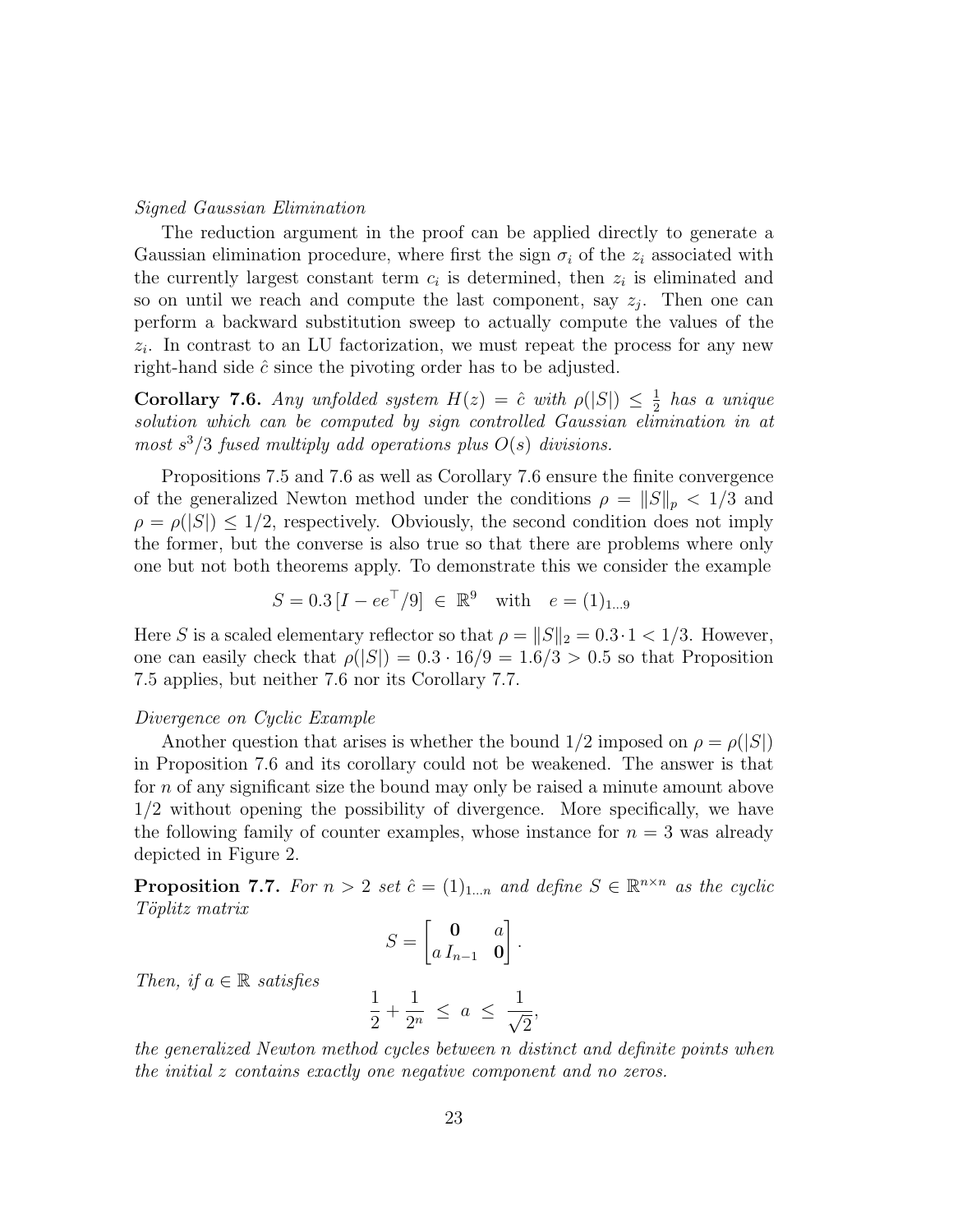### Signed Gaussian Elimination

The reduction argument in the proof can be applied directly to generate a Gaussian elimination procedure, where first the sign  $\sigma_i$  of the  $z_i$  associated with the currently largest constant term  $c_i$  is determined, then  $z_i$  is eliminated and so on until we reach and compute the last component, say  $z_j$ . Then one can perform a backward substitution sweep to actually compute the values of the  $z_i$ . In contrast to an LU factorization, we must repeat the process for any new right-hand side  $\hat{c}$  since the pivoting order has to be adjusted.

**Corollary 7.6.** Any unfolded system  $H(z) = \hat{c}$  with  $\rho(|S|) \leq \frac{1}{2}$  $\frac{1}{2}$  has a unique solution which can be computed by sign controlled Gaussian elimination in at most  $s^3/3$  fused multiply add operations plus  $O(s)$  divisions.

Propositions 7.5 and 7.6 as well as Corollary 7.6 ensure the finite convergence of the generalized Newton method under the conditions  $\rho = ||S||_p < 1/3$  and  $\rho = \rho(|S|) \leq 1/2$ , respectively. Obviously, the second condition does not imply the former, but the converse is also true so that there are problems where only one but not both theorems apply. To demonstrate this we consider the example

$$
S = 0.3 [I - ee^{\top}/9] \in \mathbb{R}^{9} \text{ with } e = (1)_{1...9}
$$

Here S is a scaled elementary reflector so that  $\rho = ||S||_2 = 0.3 \cdot 1 < 1/3$ . However, one can easily check that  $\rho(|S|) = 0.3 \cdot 16/9 = 1.6/3 > 0.5$  so that Proposition 7.5 applies, but neither 7.6 nor its Corollary 7.7.

# Divergence on Cyclic Example

Another question that arises is whether the bound  $1/2$  imposed on  $\rho = \rho(|S|)$ in Proposition 7.6 and its corollary could not be weakened. The answer is that for n of any significant size the bound may only be raised a minute amount above 1/2 without opening the possibility of divergence. More specifically, we have the following family of counter examples, whose instance for  $n = 3$  was already depicted in Figure 2.

**Proposition 7.7.** For  $n > 2$  set  $\hat{c} = (1)_{1...n}$  and define  $S \in \mathbb{R}^{n \times n}$  as the cyclic Töplitz matrix

$$
S = \begin{bmatrix} \mathbf{0} & a \\ a I_{n-1} & \mathbf{0} \end{bmatrix}.
$$

Then, if  $a \in \mathbb{R}$  satisfies

$$
\frac{1}{2} + \frac{1}{2^n} \le a \le \frac{1}{\sqrt{2}},
$$

the generalized Newton method cycles between n distinct and definite points when the initial z contains exactly one negative component and no zeros.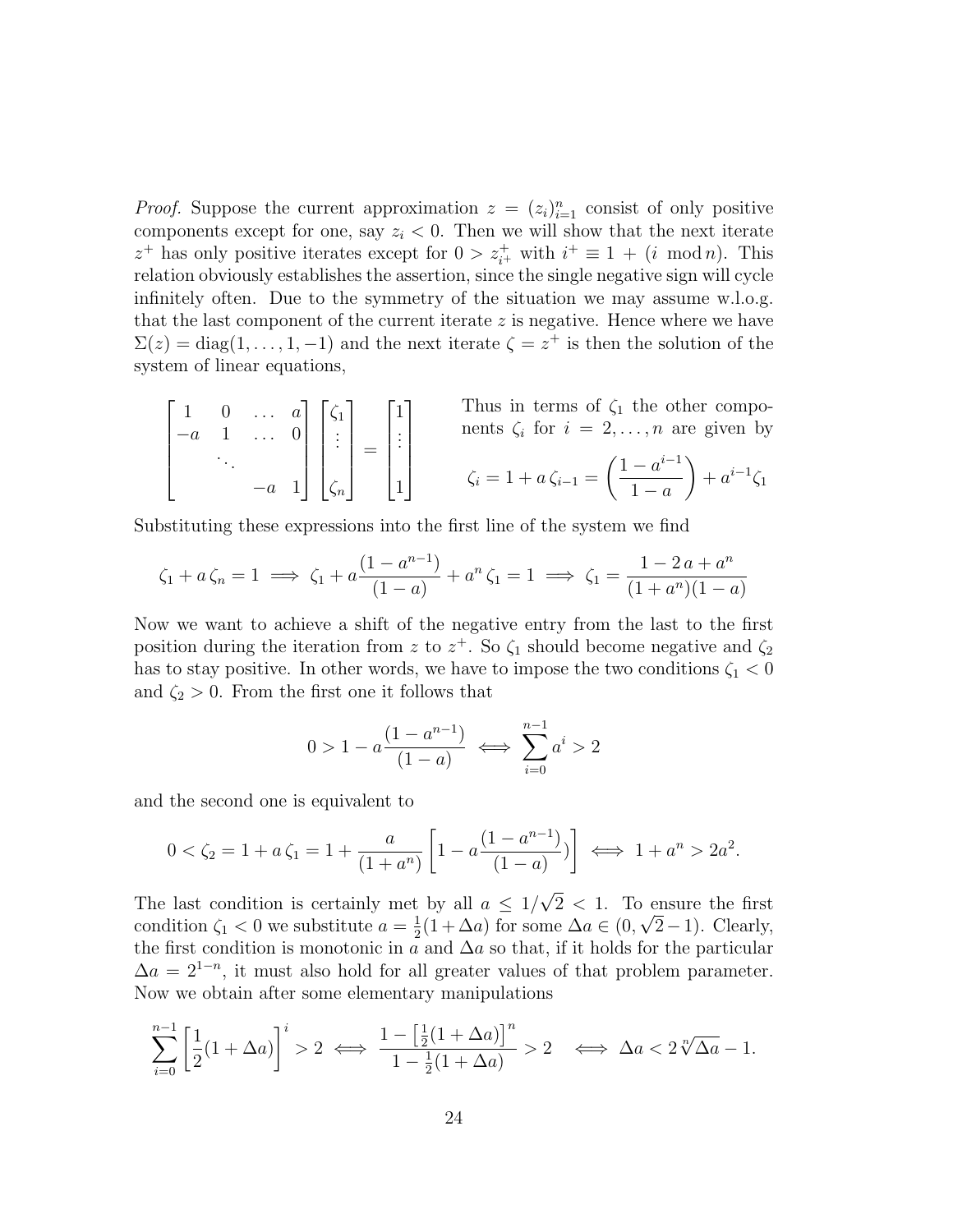*Proof.* Suppose the current approximation  $z = (z_i)_{i=1}^n$  consist of only positive components except for one, say  $z_i < 0$ . Then we will show that the next iterate  $z^+$  has only positive iterates except for  $0 > z_{i^+}^+$  with  $i^+ \equiv 1 + (i \mod n)$ . This relation obviously establishes the assertion, since the single negative sign will cycle infinitely often. Due to the symmetry of the situation we may assume w.l.o.g. that the last component of the current iterate  $z$  is negative. Hence where we have  $\Sigma(z) = \text{diag}(1,\ldots,1,-1)$  and the next iterate  $\zeta = z^+$  is then the solution of the system of linear equations,

$$
\begin{bmatrix} 1 & 0 & \dots & a \\ -a & 1 & \dots & 0 \\ & \ddots & \ddots & \\ & & -a & 1 \end{bmatrix} \begin{bmatrix} \zeta_1 \\ \vdots \\ \zeta_n \end{bmatrix} = \begin{bmatrix} 1 \\ \vdots \\ 1 \end{bmatrix}
$$
 Thus in terms of  $\zeta_1$  the other compo-  
nents  $\zeta_i$  for  $i = 2, \dots, n$  are given by  

$$
\zeta_i = 1 + a \zeta_{i-1} = \left( \frac{1 - a^{i-1}}{1 - a} \right) + a^{i-1} \zeta_1
$$

Substituting these expressions into the first line of the system we find

$$
\zeta_1 + a \zeta_n = 1 \implies \zeta_1 + a \frac{(1 - a^{n-1})}{(1 - a)} + a^n \zeta_1 = 1 \implies \zeta_1 = \frac{1 - 2a + a^n}{(1 + a^n)(1 - a)}
$$

Now we want to achieve a shift of the negative entry from the last to the first position during the iteration from z to  $z^+$ . So  $\zeta_1$  should become negative and  $\zeta_2$ has to stay positive. In other words, we have to impose the two conditions  $\zeta_1 < 0$ and  $\zeta_2 > 0$ . From the first one it follows that

$$
0 > 1 - a \frac{(1 - a^{n-1})}{(1 - a)} \iff \sum_{i=0}^{n-1} a^i > 2
$$

and the second one is equivalent to

$$
0 < \zeta_2 = 1 + a\,\zeta_1 = 1 + \frac{a}{(1+a^n)} \left[ 1 - a \frac{(1-a^{n-1})}{(1-a)} \right] \iff 1 + a^n > 2a^2.
$$

The last condition is certainly met by all  $a \leq 1/\sqrt{2} < 1$ . To ensure the first condition  $\zeta_1 < 0$  we substitute  $a = \frac{1}{2}$  $\frac{1}{2}(1+\Delta a)$  for some  $\Delta a \in (0,\sqrt{2}-1)$ . Clearly, the first condition is monotonic in a and  $\Delta a$  so that, if it holds for the particular  $\Delta a = 2^{1-n}$ , it must also hold for all greater values of that problem parameter. Now we obtain after some elementary manipulations

$$
\sum_{i=0}^{n-1} \left[ \frac{1}{2} (1 + \Delta a) \right]^i > 2 \iff \frac{1 - \left[ \frac{1}{2} (1 + \Delta a) \right]^n}{1 - \frac{1}{2} (1 + \Delta a)} > 2 \iff \Delta a < 2\sqrt[n]{\Delta a} - 1.
$$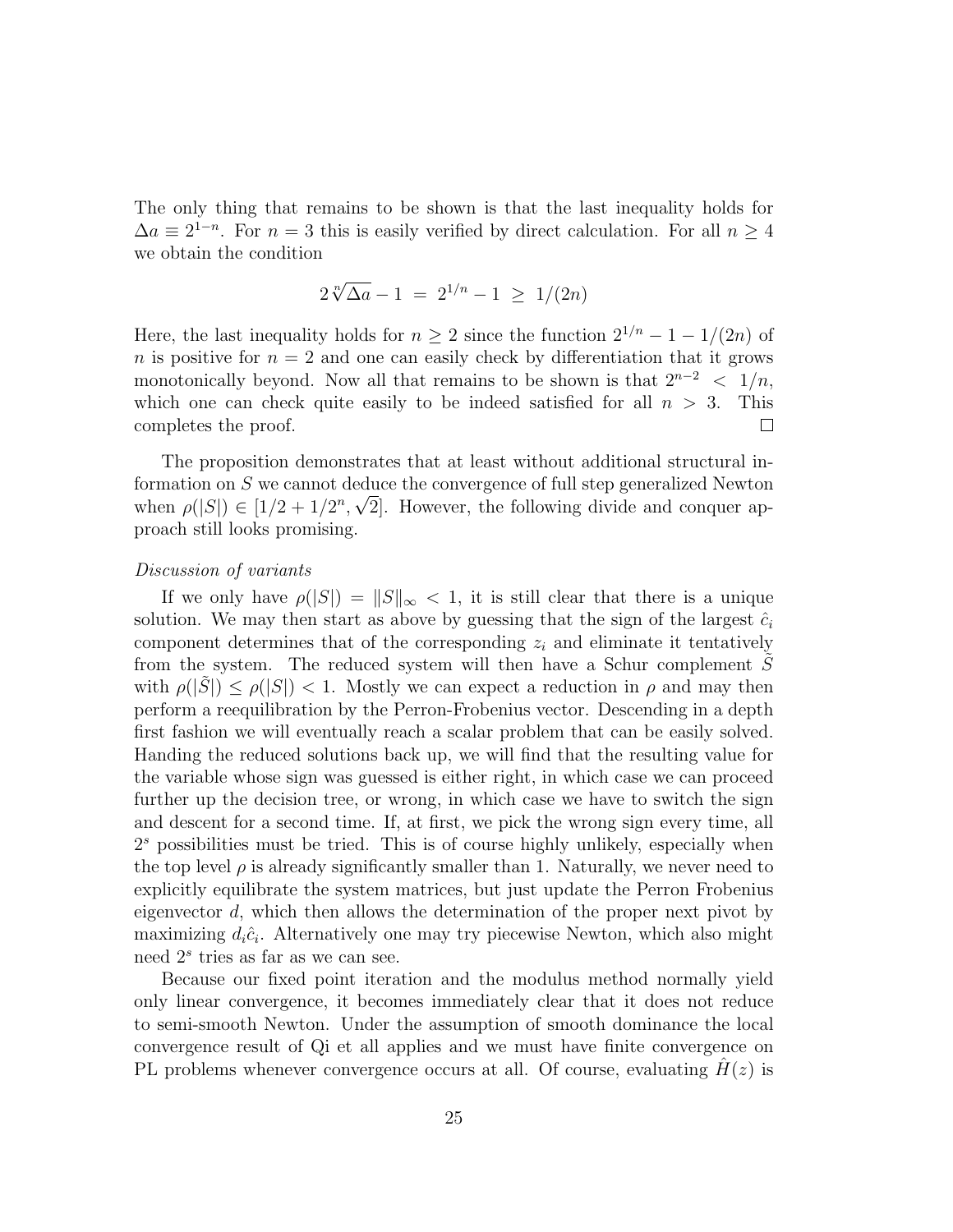The only thing that remains to be shown is that the last inequality holds for  $\Delta a \equiv 2^{1-n}$ . For  $n = 3$  this is easily verified by direct calculation. For all  $n \ge 4$ we obtain the condition

$$
2\sqrt[n]{\Delta a} - 1 = 2^{1/n} - 1 \ge 1/(2n)
$$

Here, the last inequality holds for  $n \geq 2$  since the function  $2^{1/n} - 1 - 1/(2n)$  of n is positive for  $n = 2$  and one can easily check by differentiation that it grows monotonically beyond. Now all that remains to be shown is that  $2^{n-2} < 1/n$ , which one can check quite easily to be indeed satisfied for all  $n > 3$ . This completes the proof.  $\Box$ 

The proposition demonstrates that at least without additional structural information on S we cannot deduce the convergence of full step generalized Newton when  $\rho(|S|) \in [1/2 + 1/2^n, \sqrt{2}]$ . However, the following divide and conquer approach still looks promising.

### Discussion of variants

If we only have  $\rho(|S|) = ||S||_{\infty} < 1$ , it is still clear that there is a unique solution. We may then start as above by guessing that the sign of the largest  $\hat{c}_i$ component determines that of the corresponding  $z<sub>i</sub>$  and eliminate it tentatively from the system. The reduced system will then have a Schur complement  $S$ with  $\rho(|S|) \leq \rho(|S|) < 1$ . Mostly we can expect a reduction in  $\rho$  and may then perform a reequilibration by the Perron-Frobenius vector. Descending in a depth first fashion we will eventually reach a scalar problem that can be easily solved. Handing the reduced solutions back up, we will find that the resulting value for the variable whose sign was guessed is either right, in which case we can proceed further up the decision tree, or wrong, in which case we have to switch the sign and descent for a second time. If, at first, we pick the wrong sign every time, all 2 <sup>s</sup> possibilities must be tried. This is of course highly unlikely, especially when the top level  $\rho$  is already significantly smaller than 1. Naturally, we never need to explicitly equilibrate the system matrices, but just update the Perron Frobenius eigenvector d, which then allows the determination of the proper next pivot by maximizing  $d_i\hat{c}_i$ . Alternatively one may try piecewise Newton, which also might need  $2<sup>s</sup>$  tries as far as we can see.

Because our fixed point iteration and the modulus method normally yield only linear convergence, it becomes immediately clear that it does not reduce to semi-smooth Newton. Under the assumption of smooth dominance the local convergence result of Qi et all applies and we must have finite convergence on PL problems whenever convergence occurs at all. Of course, evaluating  $H(z)$  is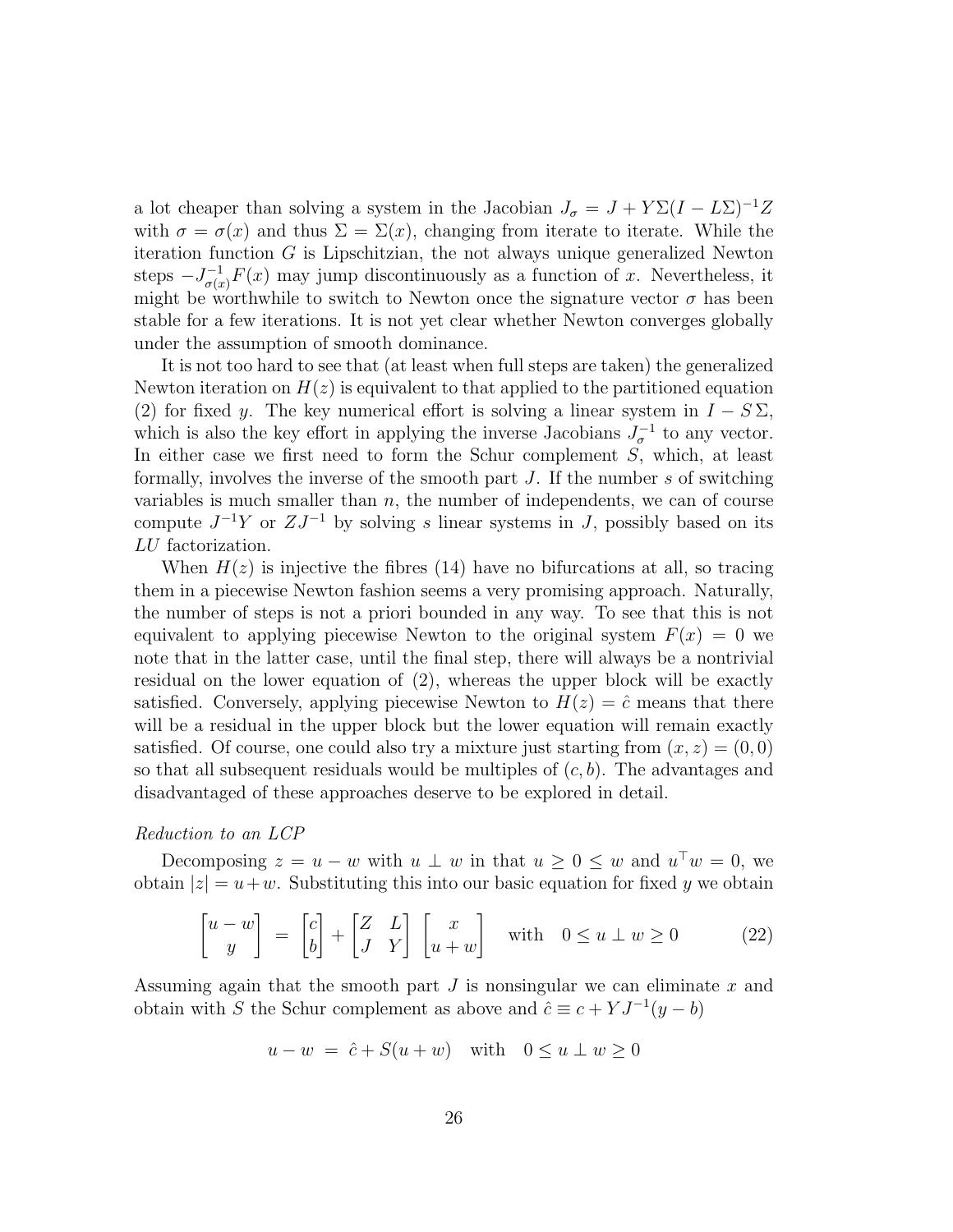a lot cheaper than solving a system in the Jacobian  $J_{\sigma} = J + Y \Sigma (I - L\Sigma)^{-1} Z$ with  $\sigma = \sigma(x)$  and thus  $\Sigma = \Sigma(x)$ , changing from iterate to iterate. While the iteration function  $G$  is Lipschitzian, the not always unique generalized Newton steps  $-J_{\sigma(x)}^{-1}F(x)$  may jump discontinuously as a function of x. Nevertheless, it might be worthwhile to switch to Newton once the signature vector  $\sigma$  has been stable for a few iterations. It is not yet clear whether Newton converges globally under the assumption of smooth dominance.

It is not too hard to see that (at least when full steps are taken) the generalized Newton iteration on  $H(z)$  is equivalent to that applied to the partitioned equation (2) for fixed y. The key numerical effort is solving a linear system in  $I - S \Sigma$ , which is also the key effort in applying the inverse Jacobians  $J_{\sigma}^{-1}$  to any vector. In either case we first need to form the Schur complement  $S$ , which, at least formally, involves the inverse of the smooth part  $J$ . If the number  $s$  of switching variables is much smaller than  $n$ , the number of independents, we can of course compute  $J^{-1}Y$  or  $ZJ^{-1}$  by solving s linear systems in J, possibly based on its LU factorization.

When  $H(z)$  is injective the fibres (14) have no bifurcations at all, so tracing them in a piecewise Newton fashion seems a very promising approach. Naturally, the number of steps is not a priori bounded in any way. To see that this is not equivalent to applying piecewise Newton to the original system  $F(x) = 0$  we note that in the latter case, until the final step, there will always be a nontrivial residual on the lower equation of (2), whereas the upper block will be exactly satisfied. Conversely, applying piecewise Newton to  $H(z) = \hat{c}$  means that there will be a residual in the upper block but the lower equation will remain exactly satisfied. Of course, one could also try a mixture just starting from  $(x, z) = (0, 0)$ so that all subsequent residuals would be multiples of  $(c, b)$ . The advantages and disadvantaged of these approaches deserve to be explored in detail.

#### Reduction to an LCP

Decomposing  $z = u - w$  with  $u \perp w$  in that  $u \geq 0 \leq w$  and  $u^{\top} w = 0$ , we obtain  $|z| = u + w$ . Substituting this into our basic equation for fixed y we obtain

$$
\begin{bmatrix} u - w \\ y \end{bmatrix} = \begin{bmatrix} c \\ b \end{bmatrix} + \begin{bmatrix} Z & L \\ J & Y \end{bmatrix} \begin{bmatrix} x \\ u + w \end{bmatrix} \quad \text{with} \quad 0 \le u \perp w \ge 0 \tag{22}
$$

Assuming again that the smooth part  $J$  is nonsingular we can eliminate  $x$  and obtain with S the Schur complement as above and  $\hat{c} \equiv c + Y J^{-1}(y - b)$ 

$$
u - w = \hat{c} + S(u + w) \quad \text{with} \quad 0 \le u \perp w \ge 0
$$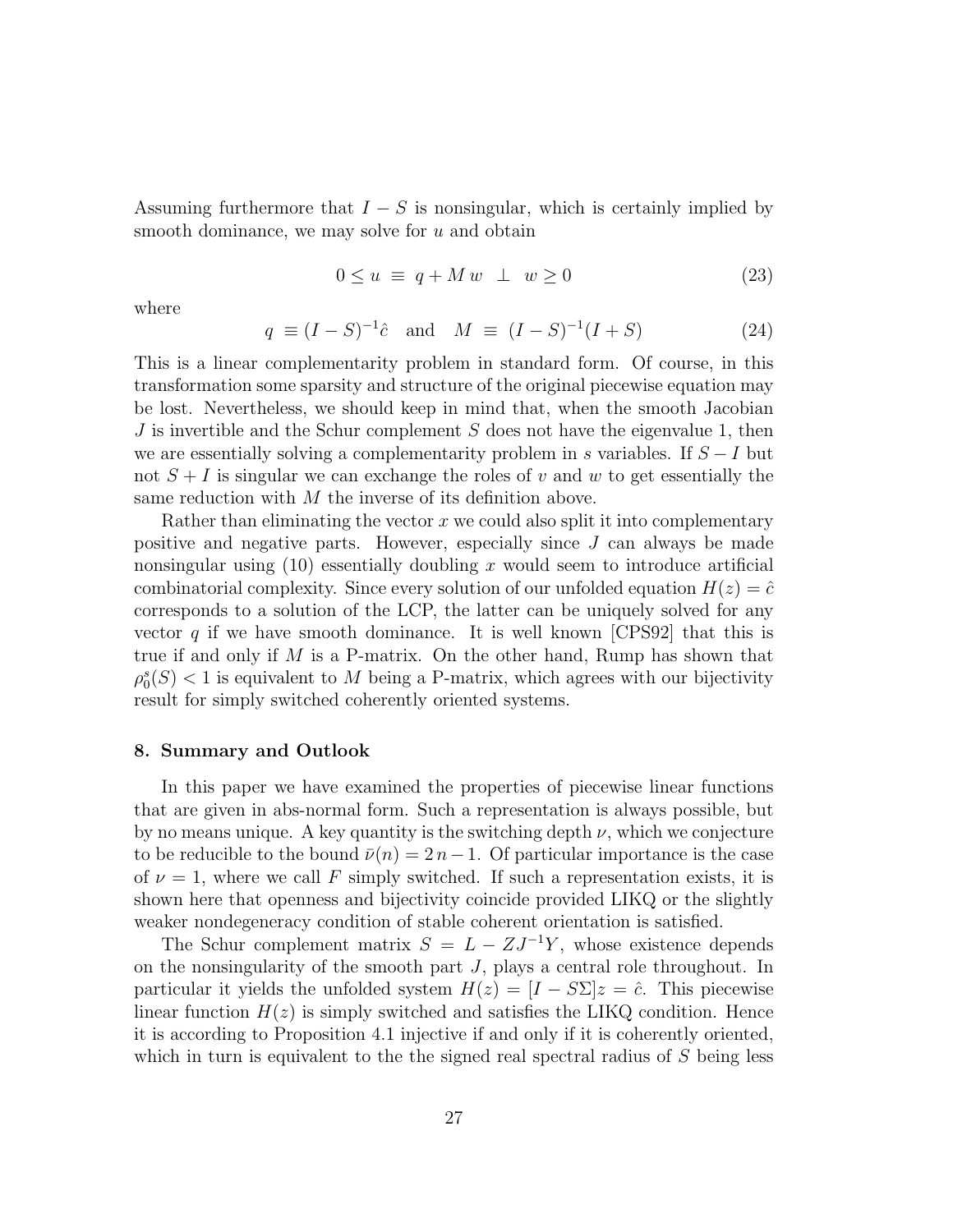Assuming furthermore that  $I - S$  is nonsingular, which is certainly implied by smooth dominance, we may solve for  $u$  and obtain

$$
0 \le u \equiv q + Mw \perp w \ge 0 \tag{23}
$$

where

$$
q \equiv (I - S)^{-1} \hat{c}
$$
 and  $M \equiv (I - S)^{-1} (I + S)$  (24)

This is a linear complementarity problem in standard form. Of course, in this transformation some sparsity and structure of the original piecewise equation may be lost. Nevertheless, we should keep in mind that, when the smooth Jacobian J is invertible and the Schur complement  $S$  does not have the eigenvalue 1, then we are essentially solving a complementarity problem in s variables. If  $S-I$  but not  $S + I$  is singular we can exchange the roles of v and w to get essentially the same reduction with M the inverse of its definition above.

Rather than eliminating the vector  $x$  we could also split it into complementary positive and negative parts. However, especially since J can always be made nonsingular using  $(10)$  essentially doubling x would seem to introduce artificial combinatorial complexity. Since every solution of our unfolded equation  $H(z) = \hat{c}$ corresponds to a solution of the LCP, the latter can be uniquely solved for any vector q if we have smooth dominance. It is well known [CPS92] that this is true if and only if  $M$  is a P-matrix. On the other hand, Rump has shown that  $\rho_0^s(S) < 1$  is equivalent to M being a P-matrix, which agrees with our bijectivity result for simply switched coherently oriented systems.

### 8. Summary and Outlook

In this paper we have examined the properties of piecewise linear functions that are given in abs-normal form. Such a representation is always possible, but by no means unique. A key quantity is the switching depth  $\nu$ , which we conjecture to be reducible to the bound  $\bar{\nu}(n) = 2n - 1$ . Of particular importance is the case of  $\nu = 1$ , where we call F simply switched. If such a representation exists, it is shown here that openness and bijectivity coincide provided LIKQ or the slightly weaker nondegeneracy condition of stable coherent orientation is satisfied.

The Schur complement matrix  $S = L - ZJ^{-1}Y$ , whose existence depends on the nonsingularity of the smooth part J, plays a central role throughout. In particular it yields the unfolded system  $H(z) = [I - S\Sigma]z = \hat{c}$ . This piecewise linear function  $H(z)$  is simply switched and satisfies the LIKQ condition. Hence it is according to Proposition 4.1 injective if and only if it is coherently oriented, which in turn is equivalent to the the signed real spectral radius of  $S$  being less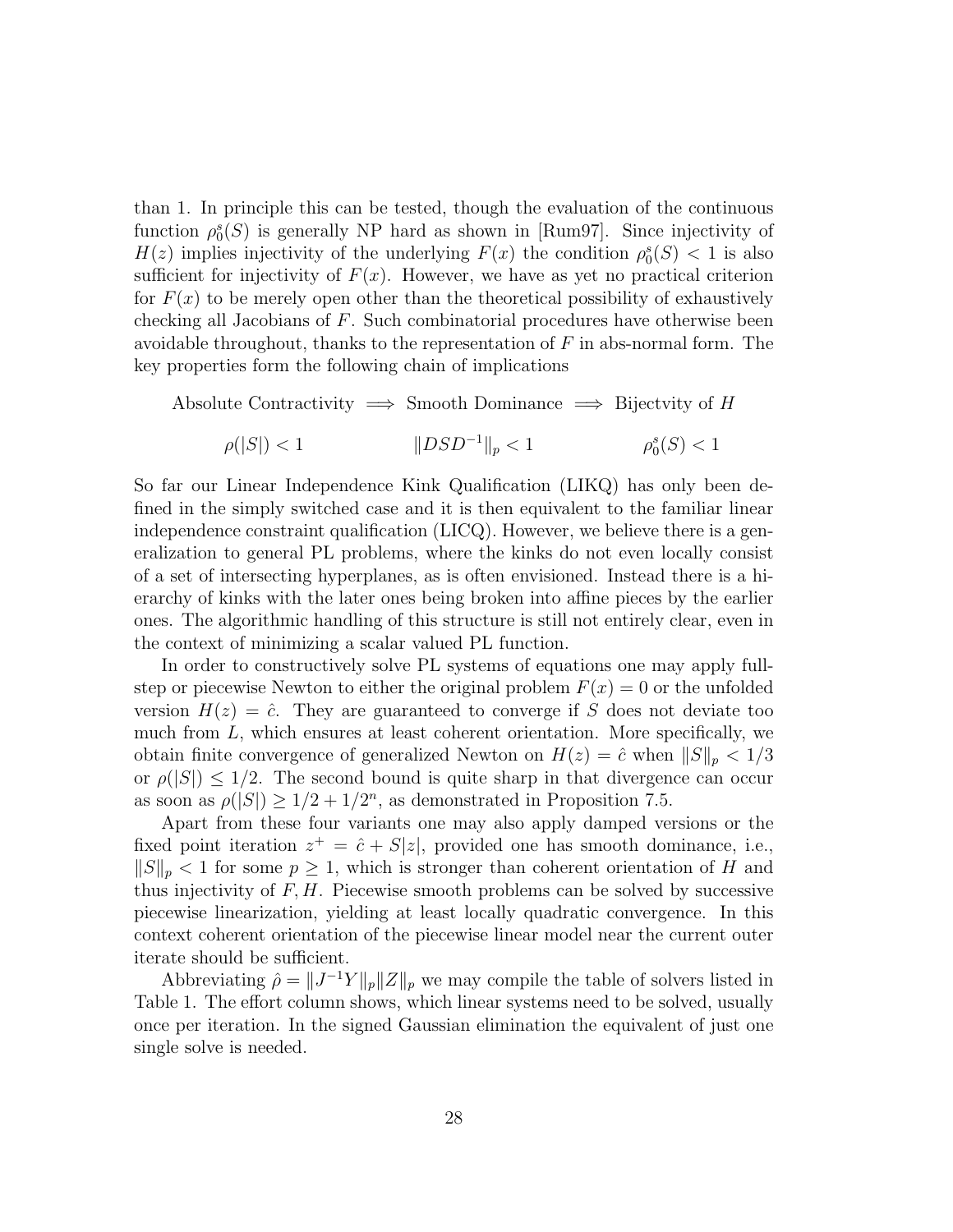than 1. In principle this can be tested, though the evaluation of the continuous function  $\rho_0^s(S)$  is generally NP hard as shown in [Rum97]. Since injectivity of  $H(z)$  implies injectivity of the underlying  $F(x)$  the condition  $\rho_0^s(S) < 1$  is also sufficient for injectivity of  $F(x)$ . However, we have as yet no practical criterion for  $F(x)$  to be merely open other than the theoretical possibility of exhaustively checking all Jacobians of F. Such combinatorial procedures have otherwise been avoidable throughout, thanks to the representation of  $F$  in abs-normal form. The key properties form the following chain of implications

Absolute Contractivity  $\implies$  Smooth Dominance  $\implies$  Bijectvity of H

$$
\rho(|S|) < 1 \qquad \qquad \|DSD^{-1}\|_p < 1 \qquad \qquad \rho_0^s(S) < 1
$$

So far our Linear Independence Kink Qualification (LIKQ) has only been defined in the simply switched case and it is then equivalent to the familiar linear independence constraint qualification (LICQ). However, we believe there is a generalization to general PL problems, where the kinks do not even locally consist of a set of intersecting hyperplanes, as is often envisioned. Instead there is a hierarchy of kinks with the later ones being broken into affine pieces by the earlier ones. The algorithmic handling of this structure is still not entirely clear, even in the context of minimizing a scalar valued PL function.

In order to constructively solve PL systems of equations one may apply fullstep or piecewise Newton to either the original problem  $F(x) = 0$  or the unfolded version  $H(z) = \hat{c}$ . They are guaranteed to converge if S does not deviate too much from  $L$ , which ensures at least coherent orientation. More specifically, we obtain finite convergence of generalized Newton on  $H(z) = \hat{c}$  when  $||S||_p < 1/3$ or  $\rho(|S|) \leq 1/2$ . The second bound is quite sharp in that divergence can occur as soon as  $\rho(|S|) \geq 1/2 + 1/2^n$ , as demonstrated in Proposition 7.5.

Apart from these four variants one may also apply damped versions or the fixed point iteration  $z^+ = \hat{c} + S|z|$ , provided one has smooth dominance, i.e.,  $||S||_p < 1$  for some  $p \geq 1$ , which is stronger than coherent orientation of H and thus injectivity of  $F, H$ . Piecewise smooth problems can be solved by successive piecewise linearization, yielding at least locally quadratic convergence. In this context coherent orientation of the piecewise linear model near the current outer iterate should be sufficient.

Abbreviating  $\hat{\rho} = ||J^{-1}Y||_p ||Z||_p$  we may compile the table of solvers listed in Table 1. The effort column shows, which linear systems need to be solved, usually once per iteration. In the signed Gaussian elimination the equivalent of just one single solve is needed.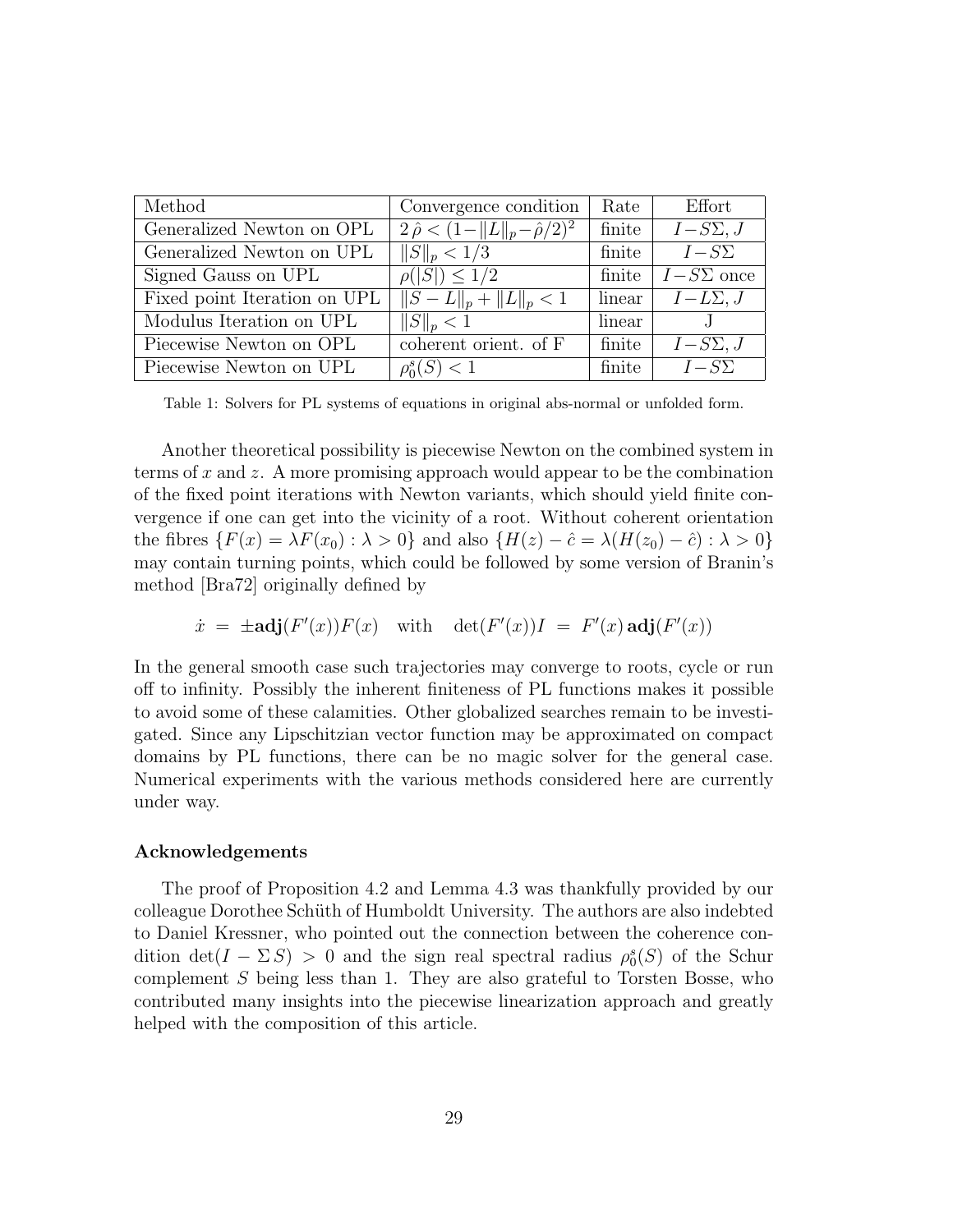| Method                       | Convergence condition                          | Rate   | Effort           |
|------------------------------|------------------------------------------------|--------|------------------|
| Generalized Newton on OPL    | $2\hat{\rho} < (1 -   L  _p - \hat{\rho}/2)^2$ | finite | $I-S\Sigma, J$   |
| Generalized Newton on UPL    | $  S  _p < 1/3$                                | finite | $I-S\Sigma$      |
| Signed Gauss on UPL          | $\rho( S ) \leq 1/2$                           | finite | $I-S\Sigma$ once |
| Fixed point Iteration on UPL | $  S-L  _p +   L  _p < 1$                      | linear | $I - L\Sigma, J$ |
| Modulus Iteration on UPL     | $  S  _p < 1$                                  | linear | J                |
| Piecewise Newton on OPL      | coherent orient. of F                          | finite | $I-S\Sigma, J$   |
| Piecewise Newton on UPL      | $\rho_0^s(S) < 1$                              | finite | $I-S\Sigma$      |

Table 1: Solvers for PL systems of equations in original abs-normal or unfolded form.

Another theoretical possibility is piecewise Newton on the combined system in terms of x and z. A more promising approach would appear to be the combination of the fixed point iterations with Newton variants, which should yield finite convergence if one can get into the vicinity of a root. Without coherent orientation the fibres  $\{F(x) = \lambda F(x_0) : \lambda > 0\}$  and also  $\{H(z) - \hat{c} = \lambda (H(z_0) - \hat{c}) : \lambda > 0\}$ may contain turning points, which could be followed by some version of Branin's method [Bra72] originally defined by

$$
\dot{x} = \pm \mathbf{adj}(F'(x))F(x) \quad \text{with} \quad \det(F'(x))I = F'(x)\,\mathbf{adj}(F'(x))
$$

In the general smooth case such trajectories may converge to roots, cycle or run off to infinity. Possibly the inherent finiteness of PL functions makes it possible to avoid some of these calamities. Other globalized searches remain to be investigated. Since any Lipschitzian vector function may be approximated on compact domains by PL functions, there can be no magic solver for the general case. Numerical experiments with the various methods considered here are currently under way.

## Acknowledgements

The proof of Proposition 4.2 and Lemma 4.3 was thankfully provided by our colleague Dorothee Schüth of Humboldt University. The authors are also indebted to Daniel Kressner, who pointed out the connection between the coherence condition  $\det(I - \Sigma S) > 0$  and the sign real spectral radius  $\rho_0^s(S)$  of the Schur complement S being less than 1. They are also grateful to Torsten Bosse, who contributed many insights into the piecewise linearization approach and greatly helped with the composition of this article.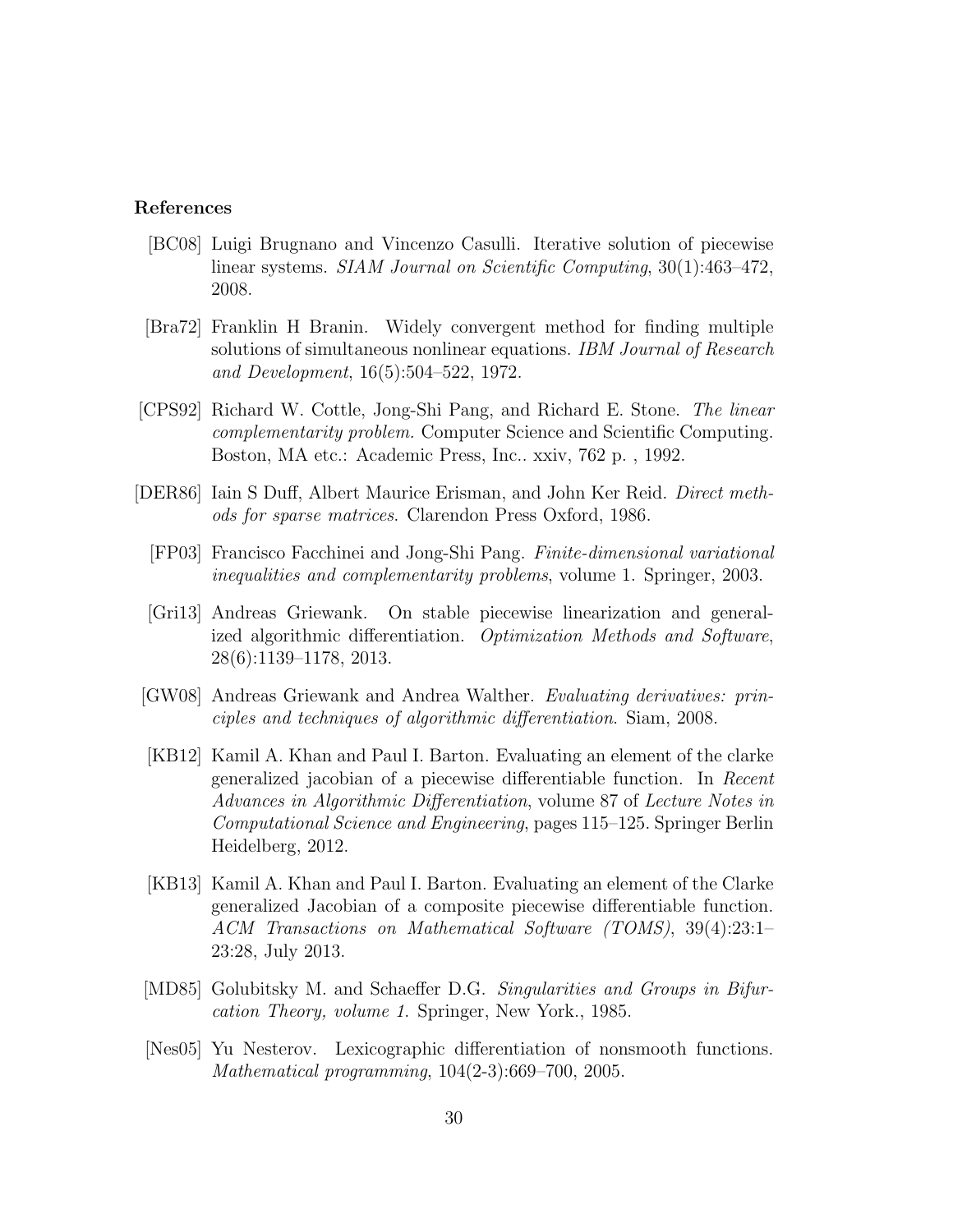## References

- [BC08] Luigi Brugnano and Vincenzo Casulli. Iterative solution of piecewise linear systems. SIAM Journal on Scientific Computing, 30(1):463–472, 2008.
- [Bra72] Franklin H Branin. Widely convergent method for finding multiple solutions of simultaneous nonlinear equations. IBM Journal of Research and Development, 16(5):504–522, 1972.
- [CPS92] Richard W. Cottle, Jong-Shi Pang, and Richard E. Stone. The linear complementarity problem. Computer Science and Scientific Computing. Boston, MA etc.: Academic Press, Inc.. xxiv, 762 p. , 1992.
- [DER86] Iain S Duff, Albert Maurice Erisman, and John Ker Reid. Direct methods for sparse matrices. Clarendon Press Oxford, 1986.
	- [FP03] Francisco Facchinei and Jong-Shi Pang. Finite-dimensional variational inequalities and complementarity problems, volume 1. Springer, 2003.
	- [Gri13] Andreas Griewank. On stable piecewise linearization and generalized algorithmic differentiation. Optimization Methods and Software, 28(6):1139–1178, 2013.
- [GW08] Andreas Griewank and Andrea Walther. Evaluating derivatives: principles and techniques of algorithmic differentiation. Siam, 2008.
- [KB12] Kamil A. Khan and Paul I. Barton. Evaluating an element of the clarke generalized jacobian of a piecewise differentiable function. In Recent Advances in Algorithmic Differentiation, volume 87 of Lecture Notes in Computational Science and Engineering, pages 115–125. Springer Berlin Heidelberg, 2012.
- [KB13] Kamil A. Khan and Paul I. Barton. Evaluating an element of the Clarke generalized Jacobian of a composite piecewise differentiable function. ACM Transactions on Mathematical Software (TOMS), 39(4):23:1– 23:28, July 2013.
- [MD85] Golubitsky M. and Schaeffer D.G. *Singularities and Groups in Bifur*cation Theory, volume 1. Springer, New York., 1985.
- [Nes05] Yu Nesterov. Lexicographic differentiation of nonsmooth functions. Mathematical programming, 104(2-3):669–700, 2005.